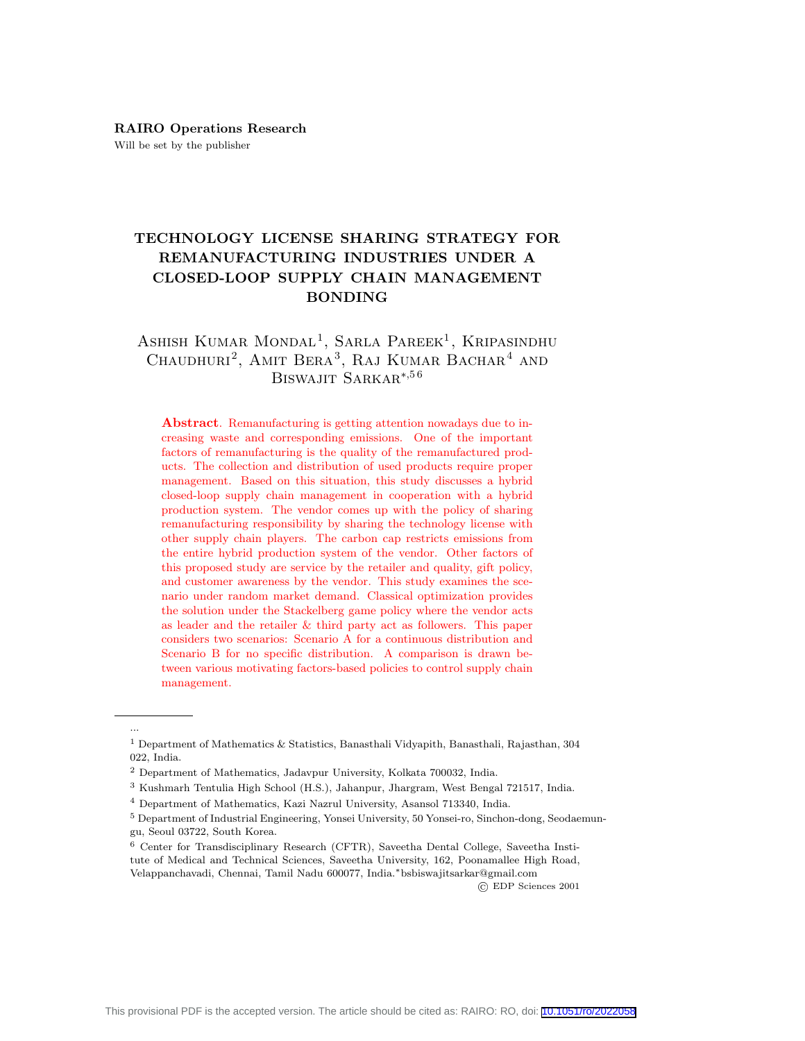# TECHNOLOGY LICENSE SHARING STRATEGY FOR REMANUFACTURING INDUSTRIES UNDER A CLOSED-LOOP SUPPLY CHAIN MANAGEMENT BONDING

# ASHISH KUMAR MONDAL<sup>1</sup>, SARLA PAREEK<sup>1</sup>, KRIPASINDHU Chaudhuri<sup>2</sup>, Amit Bera<sup>3</sup>, Raj Kumar Bachar<sup>4</sup> and Biswajit Sarkar<sup>∗</sup>,5 6

Abstract. Remanufacturing is getting attention nowadays due to increasing waste and corresponding emissions. One of the important factors of remanufacturing is the quality of the remanufactured products. The collection and distribution of used products require proper management. Based on this situation, this study discusses a hybrid closed-loop supply chain management in cooperation with a hybrid production system. The vendor comes up with the policy of sharing remanufacturing responsibility by sharing the technology license with other supply chain players. The carbon cap restricts emissions from the entire hybrid production system of the vendor. Other factors of this proposed study are service by the retailer and quality, gift policy, and customer awareness by the vendor. This study examines the scenario under random market demand. Classical optimization provides the solution under the Stackelberg game policy where the vendor acts as leader and the retailer & third party act as followers. This paper considers two scenarios: Scenario A for a continuous distribution and Scenario B for no specific distribution. A comparison is drawn between various motivating factors-based policies to control supply chain management.

...

© EDP Sciences 2001

 $^{\rm 1}$  Department of Mathematics & Statistics, Banasthali Vidyapith, Banasthali, Rajasthan, 304 022, India.

<sup>2</sup> Department of Mathematics, Jadavpur University, Kolkata 700032, India.

<sup>3</sup> Kushmarh Tentulia High School (H.S.), Jahanpur, Jhargram, West Bengal 721517, India.

<sup>4</sup> Department of Mathematics, Kazi Nazrul University, Asansol 713340, India.

<sup>5</sup> Department of Industrial Engineering, Yonsei University, 50 Yonsei-ro, Sinchon-dong, Seodaemungu, Seoul 03722, South Korea.

<sup>6</sup> Center for Transdisciplinary Research (CFTR), Saveetha Dental College, Saveetha Institute of Medical and Technical Sciences, Saveetha University, 162, Poonamallee High Road, Velappanchavadi, Chennai, Tamil Nadu 600077, India.∗bsbiswajitsarkar@gmail.com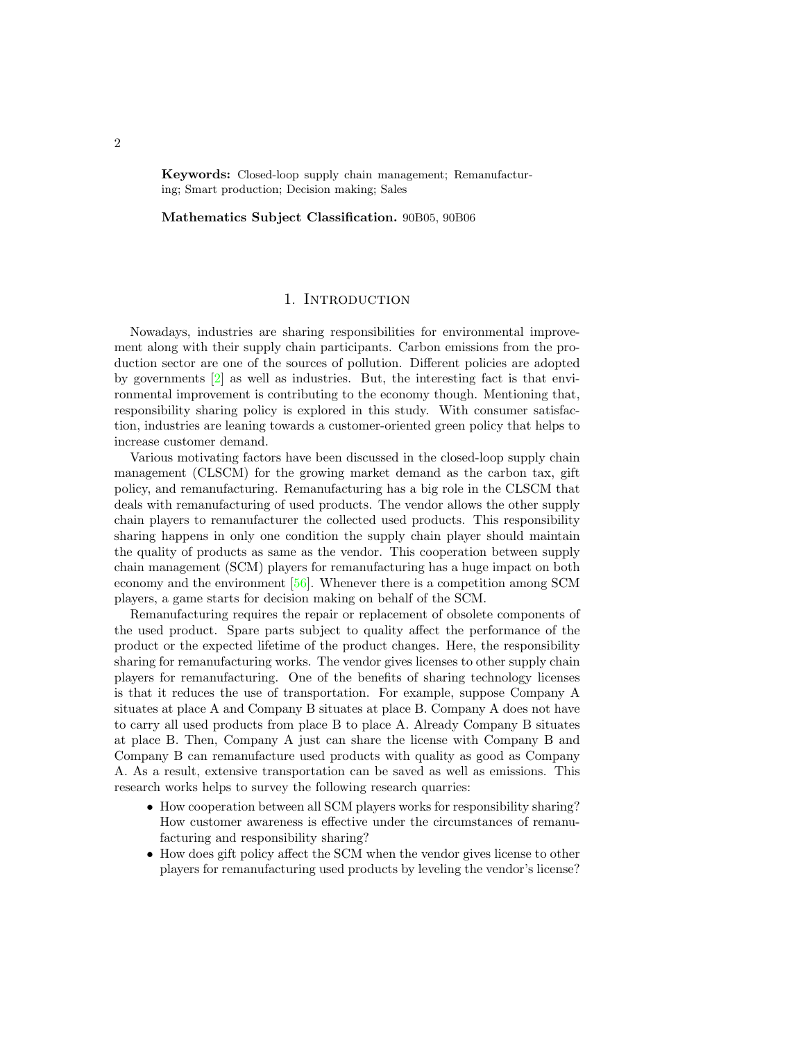Keywords: Closed-loop supply chain management; Remanufacturing; Smart production; Decision making; Sales

Mathematics Subject Classification. 90B05, 90B06

## 1. Introduction

Nowadays, industries are sharing responsibilities for environmental improvement along with their supply chain participants. Carbon emissions from the production sector are one of the sources of pollution. Different policies are adopted by governments  $\boxed{2}$  as well as industries. But, the interesting fact is that environmental improvement is contributing to the economy though. Mentioning that, responsibility sharing policy is explored in this study. With consumer satisfaction, industries are leaning towards a customer-oriented green policy that helps to increase customer demand.

Various motivating factors have been discussed in the closed-loop supply chain management (CLSCM) for the growing market demand as the carbon tax, gift policy, and remanufacturing. Remanufacturing has a big role in the CLSCM that deals with remanufacturing of used products. The vendor allows the other supply chain players to remanufacturer the collected used products. This responsibility sharing happens in only one condition the supply chain player should maintain the quality of products as same as the vendor. This cooperation between supply chain management (SCM) players for remanufacturing has a huge impact on both economy and the environment [\[56\]](#page-34-0). Whenever there is a competition among SCM players, a game starts for decision making on behalf of the SCM.

Remanufacturing requires the repair or replacement of obsolete components of the used product. Spare parts subject to quality affect the performance of the product or the expected lifetime of the product changes. Here, the responsibility sharing for remanufacturing works. The vendor gives licenses to other supply chain players for remanufacturing. One of the benefits of sharing technology licenses is that it reduces the use of transportation. For example, suppose Company A situates at place A and Company B situates at place B. Company A does not have to carry all used products from place B to place A. Already Company B situates at place B. Then, Company A just can share the license with Company B and Company B can remanufacture used products with quality as good as Company A. As a result, extensive transportation can be saved as well as emissions. This research works helps to survey the following research quarries:

- How cooperation between all SCM players works for responsibility sharing? How customer awareness is effective under the circumstances of remanufacturing and responsibility sharing?
- How does gift policy affect the SCM when the vendor gives license to other players for remanufacturing used products by leveling the vendor's license?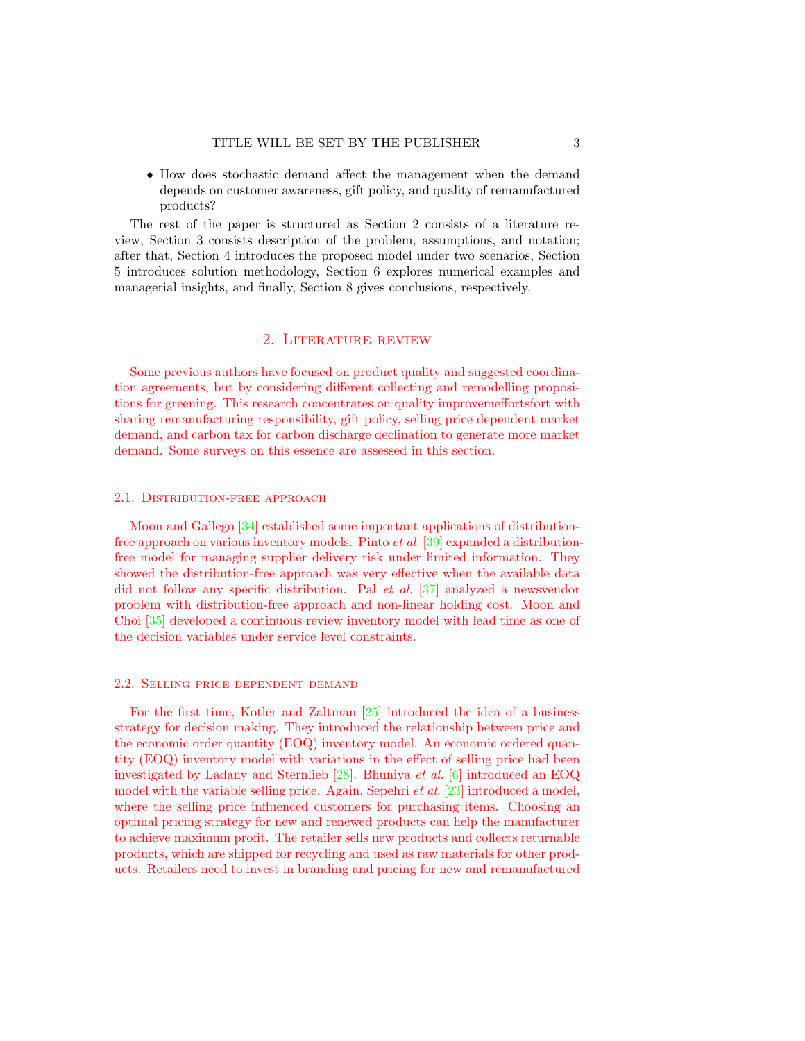• How does stochastic demand affect the management when the demand depends on customer awareness, gift policy, and quality of remanufactured products?

The rest of the paper is structured as Section 2 consists of a literature review, Section 3 consists description of the problem, assumptions, and notation; after that, Section 4 introduces the proposed model under two scenarios, Section 5 introduces solution methodology, Section 6 explores numerical examples and managerial insights, and finally, Section 8 gives conclusions, respectively.

## 2. Literature review

Some previous authors have focused on product quality and suggested coordination agreements, but by considering different collecting and remodelling propositions for greening. This research concentrates on quality improvemeffortsfort with sharing remanufacturing responsibility, gift policy, selling price dependent market demand, and carbon tax for carbon discharge declination to generate more market demand. Some surveys on this essence are assessed in this section.

### 2.1. DISTRIBUTION-FREE APPROACH

Moon and Gallego [\[34\]](#page-33-0) established some important applications of distributionfree approach on various inventory models. Pinto et al. [\[39\]](#page-34-1) expanded a distributionfree model for managing supplier delivery risk under limited information. They showed the distribution-free approach was very effective when the available data did not follow any specific distribution. Pal et al. [\[37\]](#page-33-1) analyzed a newsvendor problem with distribution-free approach and non-linear holding cost. Moon and Choi [\[35\]](#page-33-2) developed a continuous review inventory model with lead time as one of the decision variables under service level constraints.

#### 2.2. Selling price dependent demand

For the first time, Kotler and Zaltman [\[25\]](#page-33-3) introduced the idea of a business strategy for decision making. They introduced the relationship between price and the economic order quantity (EOQ) inventory model. An economic ordered quantity (EOQ) inventory model with variations in the effect of selling price had been investigated by Ladany and Sternlieb [\[28\]](#page-33-4). Bhuniya et al. [\[6\]](#page-32-1) introduced an EOQ model with the variable selling price. Again, Sepehri et al. [\[23\]](#page-33-5) introduced a model, where the selling price influenced customers for purchasing items. Choosing an optimal pricing strategy for new and renewed products can help the manufacturer to achieve maximum profit. The retailer sells new products and collects returnable products, which are shipped for recycling and used as raw materials for other products. Retailers need to invest in branding and pricing for new and remanufactured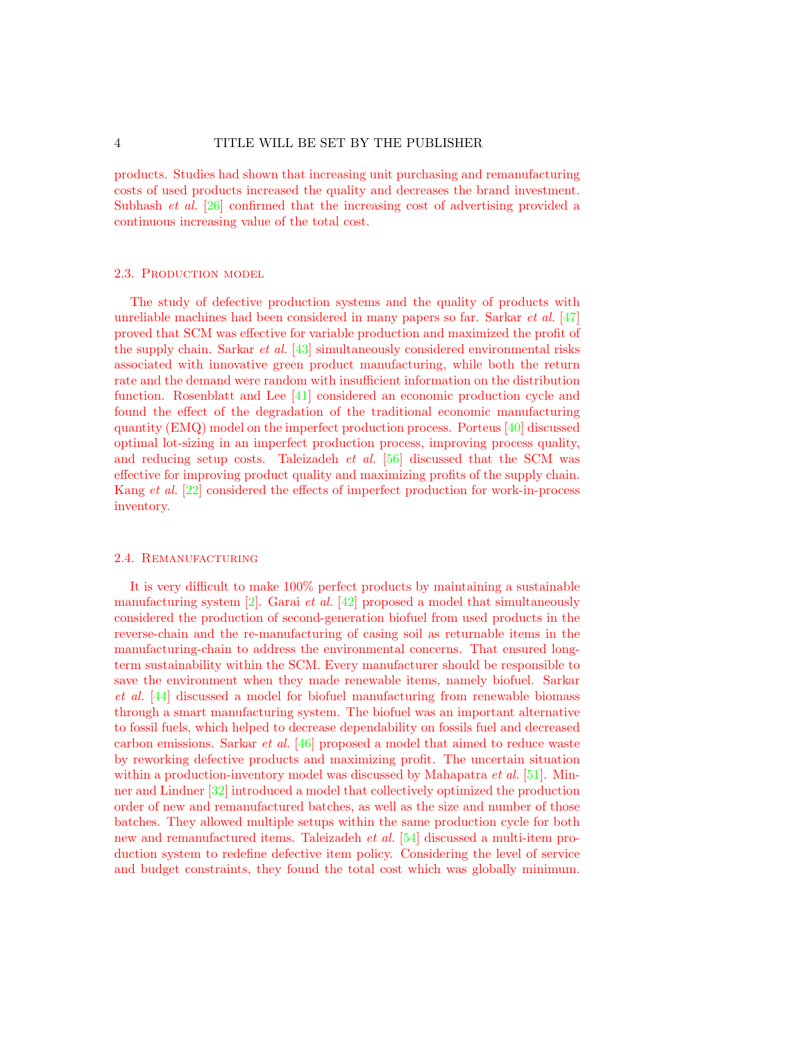products. Studies had shown that increasing unit purchasing and remanufacturing costs of used products increased the quality and decreases the brand investment. Subhash *et al.* [\[26\]](#page-33-6) confirmed that the increasing cost of advertising provided a continuous increasing value of the total cost.

#### 2.3. PRODUCTION MODEL

The study of defective production systems and the quality of products with unreliable machines had been considered in many papers so far. Sarkar et al. [\[47\]](#page-34-2) proved that SCM was effective for variable production and maximized the profit of the supply chain. Sarkar et al. [\[43\]](#page-34-3) simultaneously considered environmental risks associated with innovative green product manufacturing, while both the return rate and the demand were random with insufficient information on the distribution function. Rosenblatt and Lee [\[41\]](#page-34-4) considered an economic production cycle and found the effect of the degradation of the traditional economic manufacturing quantity (EMQ) model on the imperfect production process. Porteus [\[40\]](#page-34-5) discussed optimal lot-sizing in an imperfect production process, improving process quality, and reducing setup costs. Taleizadeh et al. [\[56\]](#page-34-0) discussed that the SCM was effective for improving product quality and maximizing profits of the supply chain. Kang et al. [\[22\]](#page-33-7) considered the effects of imperfect production for work-in-process inventory.

#### 2.4. Remanufacturing

It is very difficult to make 100% perfect products by maintaining a sustainable manufacturing system  $[2]$ . Garai *et al.*  $[42]$  proposed a model that simultaneously considered the production of second-generation biofuel from used products in the reverse-chain and the re-manufacturing of casing soil as returnable items in the manufacturing-chain to address the environmental concerns. That ensured longterm sustainability within the SCM. Every manufacturer should be responsible to save the environment when they made renewable items, namely biofuel. Sarkar et al. [\[44\]](#page-34-7) discussed a model for biofuel manufacturing from renewable biomass through a smart manufacturing system. The biofuel was an important alternative to fossil fuels, which helped to decrease dependability on fossils fuel and decreased carbon emissions. Sarkar et al. [\[46\]](#page-34-8) proposed a model that aimed to reduce waste by reworking defective products and maximizing profit. The uncertain situation within a production-inventory model was discussed by Mahapatra *et al.* [\[51\]](#page-34-9). Minner and Lindner [\[32\]](#page-33-8) introduced a model that collectively optimized the production order of new and remanufactured batches, as well as the size and number of those batches. They allowed multiple setups within the same production cycle for both new and remanufactured items. Taleizadeh et al. [\[54\]](#page-34-10) discussed a multi-item production system to redefine defective item policy. Considering the level of service and budget constraints, they found the total cost which was globally minimum.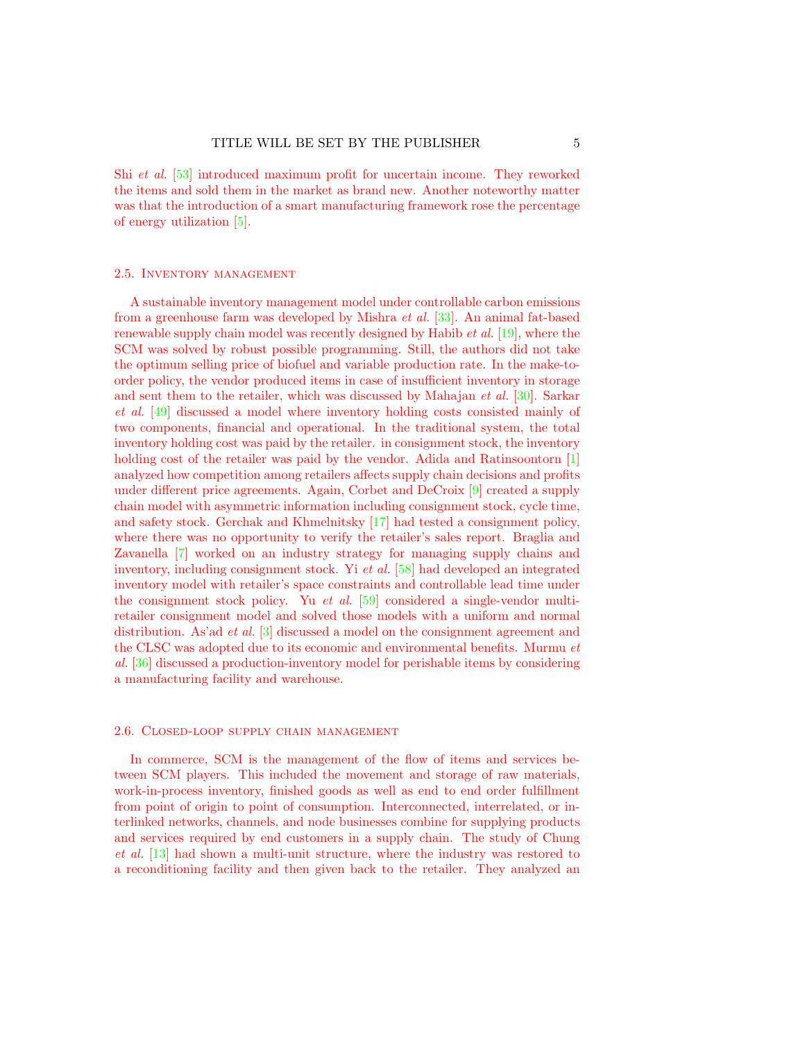Shi et al. [\[53\]](#page-34-11) introduced maximum profit for uncertain income. They reworked the items and sold them in the market as brand new. Another noteworthy matter was that the introduction of a smart manufacturing framework rose the percentage of energy utilization [\[5\]](#page-32-2).

#### 2.5. Inventory management

A sustainable inventory management model under controllable carbon emissions from a greenhouse farm was developed by Mishra et al. [\[33\]](#page-33-9). An animal fat-based renewable supply chain model was recently designed by Habib et al. [\[19\]](#page-33-10), where the SCM was solved by robust possible programming. Still, the authors did not take the optimum selling price of biofuel and variable production rate. In the make-toorder policy, the vendor produced items in case of insufficient inventory in storage and sent them to the retailer, which was discussed by Mahajan et al. [\[30\]](#page-33-11). Sarkar et al. [\[49\]](#page-34-12) discussed a model where inventory holding costs consisted mainly of two components, financial and operational. In the traditional system, the total inventory holding cost was paid by the retailer. in consignment stock, the inventory holding cost of the retailer was paid by the vendor. Adida and Ratinsoontorn [\[1\]](#page-32-3) analyzed how competition among retailers affects supply chain decisions and profits under different price agreements. Again, Corbet and DeCroix [\[9\]](#page-32-4) created a supply chain model with asymmetric information including consignment stock, cycle time, and safety stock. Gerchak and Khmelnitsky [\[17\]](#page-33-12) had tested a consignment policy, where there was no opportunity to verify the retailer's sales report. Braglia and Zavanella [\[7\]](#page-32-5) worked on an industry strategy for managing supply chains and inventory, including consignment stock. Yi et al. [\[58\]](#page-34-13) had developed an integrated inventory model with retailer's space constraints and controllable lead time under the consignment stock policy. Yu et al. [\[59\]](#page-35-0) considered a single-vendor multiretailer consignment model and solved those models with a uniform and normal distribution. As'ad et al. [\[3\]](#page-32-6) discussed a model on the consignment agreement and the CLSC was adopted due to its economic and environmental benefits. Murmu et al. [\[36\]](#page-33-13) discussed a production-inventory model for perishable items by considering a manufacturing facility and warehouse.

#### 2.6. Closed-loop supply chain management

In commerce, SCM is the management of the flow of items and services between SCM players. This included the movement and storage of raw materials, work-in-process inventory, finished goods as well as end to end order fulfillment from point of origin to point of consumption. Interconnected, interrelated, or interlinked networks, channels, and node businesses combine for supplying products and services required by end customers in a supply chain. The study of Chung et al. [\[13\]](#page-32-7) had shown a multi-unit structure, where the industry was restored to a reconditioning facility and then given back to the retailer. They analyzed an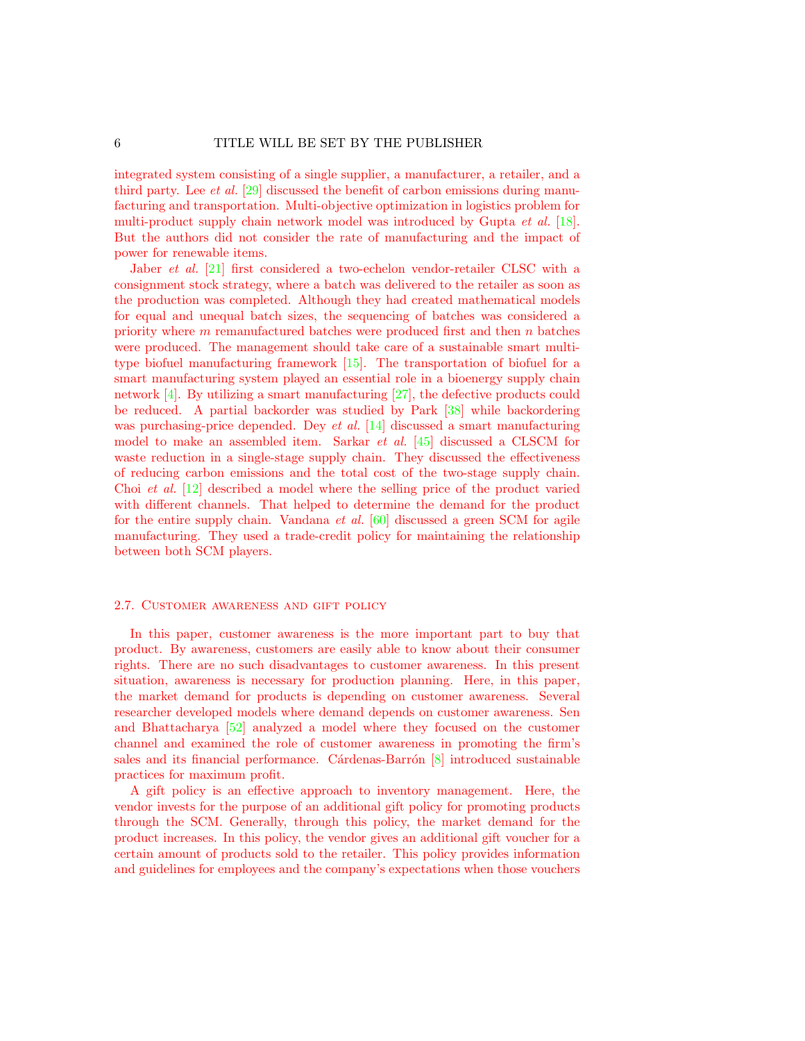integrated system consisting of a single supplier, a manufacturer, a retailer, and a third party. Lee et al. [\[29\]](#page-33-14) discussed the benefit of carbon emissions during manufacturing and transportation. Multi-objective optimization in logistics problem for multi-product supply chain network model was introduced by Gupta *et al.* [\[18\]](#page-33-15). But the authors did not consider the rate of manufacturing and the impact of power for renewable items.

Jaber et al. [\[21\]](#page-33-16) first considered a two-echelon vendor-retailer CLSC with a consignment stock strategy, where a batch was delivered to the retailer as soon as the production was completed. Although they had created mathematical models for equal and unequal batch sizes, the sequencing of batches was considered a priority where  $m$  remanufactured batches were produced first and then  $n$  batches were produced. The management should take care of a sustainable smart multitype biofuel manufacturing framework [\[15\]](#page-32-8). The transportation of biofuel for a smart manufacturing system played an essential role in a bioenergy supply chain network [\[4\]](#page-32-9). By utilizing a smart manufacturing [\[27\]](#page-33-17), the defective products could be reduced. A partial backorder was studied by Park [\[38\]](#page-34-14) while backordering was purchasing-price depended. Dey *et al.* [\[14\]](#page-32-10) discussed a smart manufacturing model to make an assembled item. Sarkar et al. [\[45\]](#page-34-15) discussed a CLSCM for waste reduction in a single-stage supply chain. They discussed the effectiveness of reducing carbon emissions and the total cost of the two-stage supply chain. Choi et al. [\[12\]](#page-32-11) described a model where the selling price of the product varied with different channels. That helped to determine the demand for the product for the entire supply chain. Vandana et al. [\[60\]](#page-35-1) discussed a green SCM for agile manufacturing. They used a trade-credit policy for maintaining the relationship between both SCM players.

## 2.7. Customer awareness and gift policy

In this paper, customer awareness is the more important part to buy that product. By awareness, customers are easily able to know about their consumer rights. There are no such disadvantages to customer awareness. In this present situation, awareness is necessary for production planning. Here, in this paper, the market demand for products is depending on customer awareness. Several researcher developed models where demand depends on customer awareness. Sen and Bhattacharya [\[52\]](#page-34-16) analyzed a model where they focused on the customer channel and examined the role of customer awareness in promoting the firm's sales and its financial performance. Cárdenas-Barrón  $[8]$  introduced sustainable practices for maximum profit.

A gift policy is an effective approach to inventory management. Here, the vendor invests for the purpose of an additional gift policy for promoting products through the SCM. Generally, through this policy, the market demand for the product increases. In this policy, the vendor gives an additional gift voucher for a certain amount of products sold to the retailer. This policy provides information and guidelines for employees and the company's expectations when those vouchers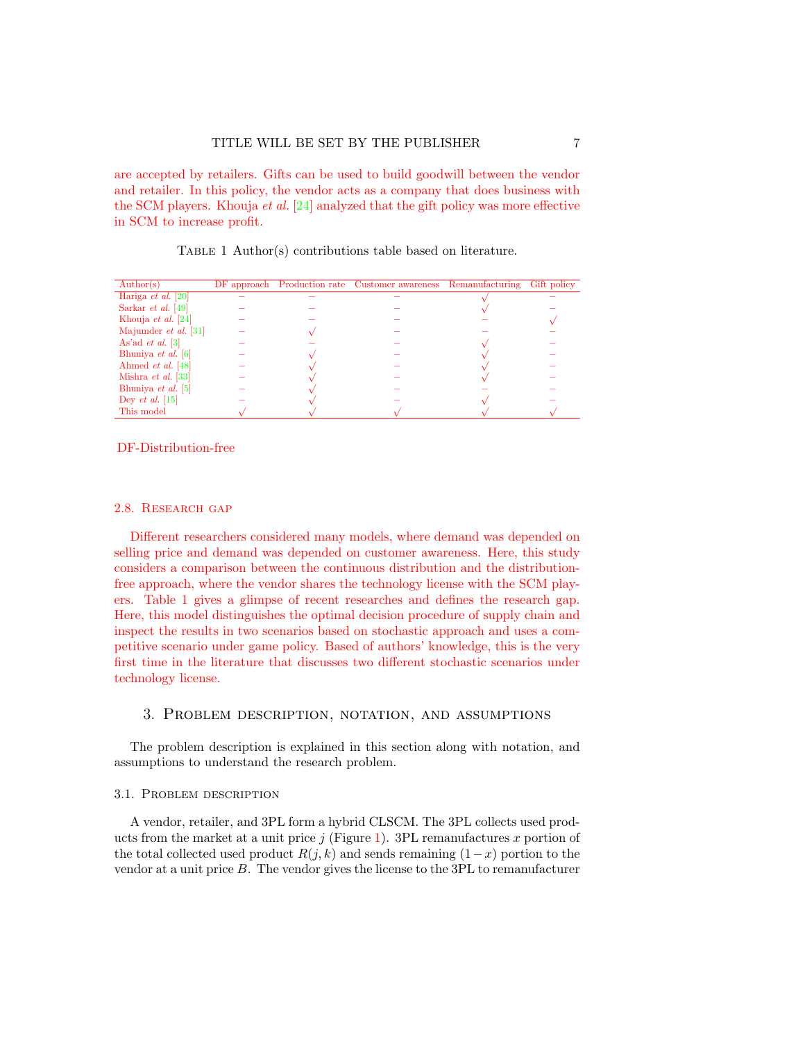are accepted by retailers. Gifts can be used to build goodwill between the vendor and retailer. In this policy, the vendor acts as a company that does business with the SCM players. Khouja et al. [\[24\]](#page-33-18) analyzed that the gift policy was more effective in SCM to increase profit.

TABLE 1 Author(s) contributions table based on literature.

<span id="page-6-0"></span>

| $\text{Author}(s)$        |  | DF approach Production rate Customer awareness Remanufacturing | Gift policy |
|---------------------------|--|----------------------------------------------------------------|-------------|
| Hariga <i>et al.</i> [20] |  |                                                                |             |
| Sarkar <i>et al.</i> [49] |  |                                                                |             |
| Khouja <i>et al.</i> [24] |  |                                                                |             |
| Majumder et al. [31]      |  |                                                                |             |
| As'ad <i>et al.</i> [3]   |  |                                                                |             |
| Bhuniya et al. $[6]$      |  |                                                                |             |
| Ahmed <i>et al.</i> [48]  |  |                                                                |             |
| Mishra <i>et al.</i> [33] |  |                                                                |             |
| Bhuniya et al. $[5]$      |  |                                                                |             |
| Dey <i>et al.</i> [15]    |  |                                                                |             |
| This model                |  |                                                                |             |

## DF-Distribution-free

#### 2.8. RESEARCH GAP

Different researchers considered many models, where demand was depended on selling price and demand was depended on customer awareness. Here, this study considers a comparison between the continuous distribution and the distributionfree approach, where the vendor shares the technology license with the SCM players. Table [1](#page-6-0) gives a glimpse of recent researches and defines the research gap. Here, this model distinguishes the optimal decision procedure of supply chain and inspect the results in two scenarios based on stochastic approach and uses a competitive scenario under game policy. Based of authors' knowledge, this is the very first time in the literature that discusses two different stochastic scenarios under technology license.

## 3. Problem description, notation, and assumptions

The problem description is explained in this section along with notation, and assumptions to understand the research problem.

#### 3.1. Problem description

A vendor, retailer, and 3PL form a hybrid CLSCM. The 3PL collects used products from the market at a unit price  $j$  (Figure [1\)](#page-10-0). 3PL remanufactures x portion of the total collected used product  $R(j, k)$  and sends remaining  $(1-x)$  portion to the vendor at a unit price  $B$ . The vendor gives the license to the  $3PL$  to remanufacturer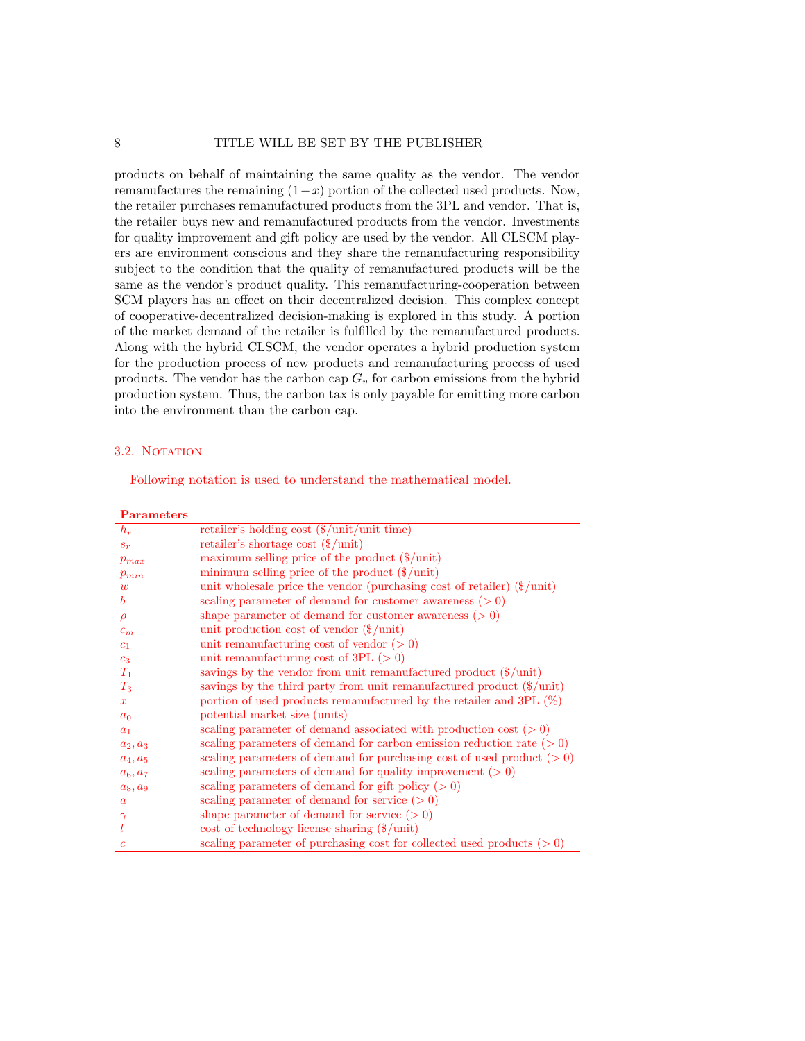products on behalf of maintaining the same quality as the vendor. The vendor remanufactures the remaining  $(1-x)$  portion of the collected used products. Now, the retailer purchases remanufactured products from the 3PL and vendor. That is, the retailer buys new and remanufactured products from the vendor. Investments for quality improvement and gift policy are used by the vendor. All CLSCM players are environment conscious and they share the remanufacturing responsibility subject to the condition that the quality of remanufactured products will be the same as the vendor's product quality. This remanufacturing-cooperation between SCM players has an effect on their decentralized decision. This complex concept of cooperative-decentralized decision-making is explored in this study. A portion of the market demand of the retailer is fulfilled by the remanufactured products. Along with the hybrid CLSCM, the vendor operates a hybrid production system for the production process of new products and remanufacturing process of used products. The vendor has the carbon cap  $G_v$  for carbon emissions from the hybrid production system. Thus, the carbon tax is only payable for emitting more carbon into the environment than the carbon cap.

#### 3.2. NOTATION

Following notation is used to understand the mathematical model.

| <b>Parameters</b> |                                                                                  |
|-------------------|----------------------------------------------------------------------------------|
| $h_r$             | retailer's holding cost $(\frac{1}{2}$ unit/unit time)                           |
| $s_r$             | retailer's shortage cost $(\frac{1}{2})$ unit                                    |
| $p_{max}$         | maximum selling price of the product $(\frac{1}{2}$ unit)                        |
| $p_{min}$         | minimum selling price of the product $(\frac{1}{2}$ unit)                        |
| $\overline{w}$    | unit wholesale price the vendor (purchasing cost of retailer) $(\frac{1}{2})$    |
| b                 | scaling parameter of demand for customer awareness $(0, 0)$                      |
| $\rho$            | shape parameter of demand for customer awareness $(0, 0)$                        |
| $c_m$             | unit production cost of vendor $(\frac{1}{2})$ unit)                             |
| c <sub>1</sub>    | unit remanufacturing cost of vendor $(>0)$                                       |
| c <sub>3</sub>    | unit remanufacturing cost of 3PL $(>0)$                                          |
| $T_1$             | savings by the vendor from unit remanufactured product $(\frac{1}{2}$ unit)      |
| $T_3$             | savings by the third party from unit remanufactured product $(\frac{1}{2}$ unit) |
| $\boldsymbol{x}$  | portion of used products remanufactured by the retailer and 3PL $(\%)$           |
| $a_0$             | potential market size (units)                                                    |
| $a_1$             | scaling parameter of demand associated with production cost $(0, 0)$             |
| $a_2, a_3$        | scaling parameters of demand for carbon emission reduction rate $(>0)$           |
| $a_4, a_5$        | scaling parameters of demand for purchasing cost of used product $(0, 0)$        |
| $a_6, a_7$        | scaling parameters of demand for quality improvement $(0, 0)$                    |
| $a_8, a_9$        | scaling parameters of demand for gift policy $(0, 0)$                            |
| $\boldsymbol{a}$  | scaling parameter of demand for service $(>0)$                                   |
| $\gamma$          | shape parameter of demand for service $(>0)$                                     |
|                   | $\cos t$ of technology license sharing $(\frac{1}{2})$ unit)                     |
| $\mathfrak{c}$    | scaling parameter of purchasing cost for collected used products $(>0)$          |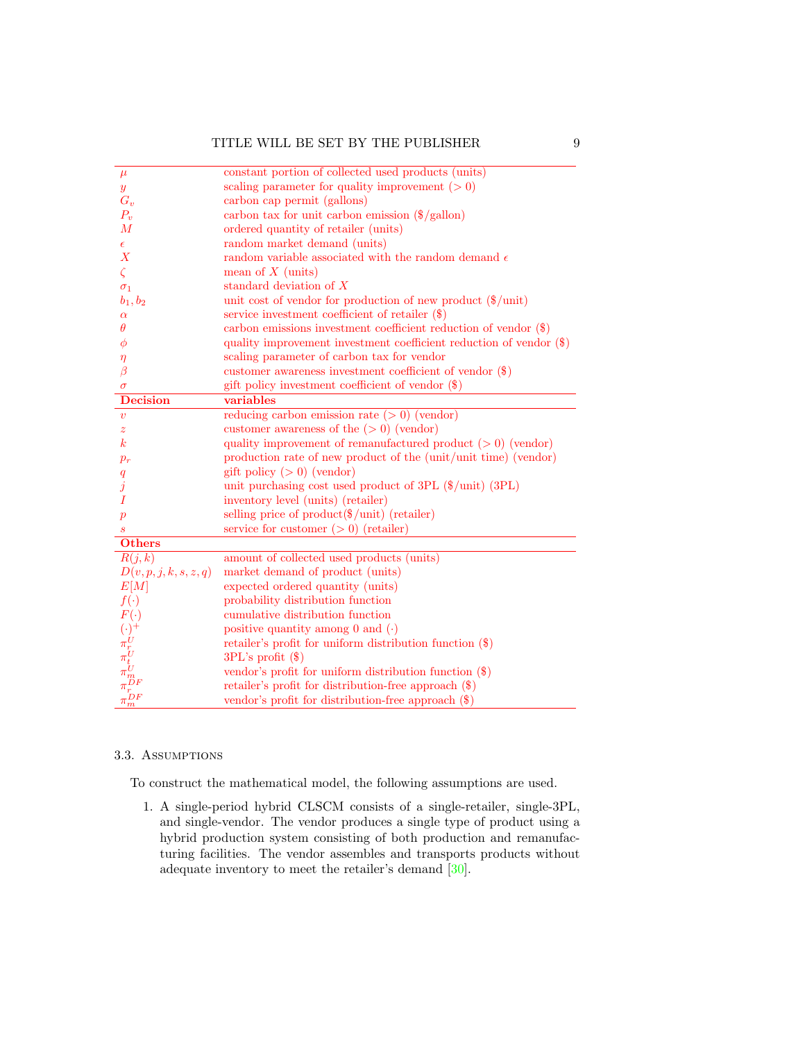| $\mu$                                                                                      | constant portion of collected used products (units)                    |
|--------------------------------------------------------------------------------------------|------------------------------------------------------------------------|
| $\boldsymbol{y}$                                                                           | scaling parameter for quality improvement $( > 0)$                     |
| $G_v$                                                                                      | carbon cap permit (gallons)                                            |
| $P_v$                                                                                      | carbon tax for unit carbon emission $(\frac{2}{3}$ /gallon)            |
| $\overline{M}$                                                                             | ordered quantity of retailer (units)                                   |
|                                                                                            | random market demand (units)                                           |
| $\epsilon$<br>$\boldsymbol{X}$                                                             | random variable associated with the random demand $\epsilon$           |
|                                                                                            |                                                                        |
| $\zeta$                                                                                    | mean of $X$ (units)                                                    |
| $\sigma_1$                                                                                 | standard deviation of $X$                                              |
| $b_1, b_2$                                                                                 | unit cost of vendor for production of new product $(\frac{1}{2}$ unit) |
| $\alpha$                                                                                   | service investment coefficient of retailer $(\$)$                      |
| $\theta$                                                                                   | carbon emissions investment coefficient reduction of vendor $(\$)$     |
| φ                                                                                          | quality improvement investment coefficient reduction of vendor (\$)    |
| $\eta$                                                                                     | scaling parameter of carbon tax for vendor                             |
| β                                                                                          | customer awareness investment coefficient of vendor (\$)               |
| $\sigma$                                                                                   | gift policy investment coefficient of vendor (\$)                      |
| <b>Decision</b>                                                                            | variables                                                              |
| $\boldsymbol{v}$                                                                           | reducing carbon emission rate $(>0)$ (vendor)                          |
| $\boldsymbol{z}$                                                                           | customer awareness of the $(>0)$ (vendor)                              |
| $\boldsymbol{k}$                                                                           | quality improvement of remanufactured product $(>0)$ (vendor)          |
| $p_{r}$                                                                                    | production rate of new product of the (unit/unit time) (vendor)        |
| q                                                                                          | gift policy $(>0)$ (vendor)                                            |
| $\overline{\jmath}$                                                                        | unit purchasing cost used product of 3PL $(\frac{1}{2}$ unit) (3PL)    |
| Τ                                                                                          | inventory level (units) (retailer)                                     |
| $\boldsymbol{p}$                                                                           | selling price of $product(\$/unit)$ (retailer)                         |
| S                                                                                          | service for customer $(0)$ (retailer)                                  |
| <b>Others</b>                                                                              |                                                                        |
| R(j,k)                                                                                     | amount of collected used products (units)                              |
| D(v, p, j, k, s, z, q)                                                                     | market demand of product (units)                                       |
| E[M]                                                                                       | expected ordered quantity (units)                                      |
| $f(\cdot)$                                                                                 | probability distribution function                                      |
|                                                                                            | cumulative distribution function                                       |
|                                                                                            | positive quantity among 0 and $( \cdot )$                              |
|                                                                                            | retailer's profit for uniform distribution function $(\$)$             |
|                                                                                            | $3PL$ 's profit $(\$)$                                                 |
|                                                                                            | vendor's profit for uniform distribution function $(\$)$               |
|                                                                                            | retailer's profit for distribution-free approach $(\$)$                |
| $F(\cdot) \atop {(\cdot)}^+ \pi^U_{t \; U} \pi^U_{t \; U} \pi^U_{m \; D F} \pi^D_{m \; m}$ | vendor's profit for distribution-free approach (\$)                    |

## 3.3. Assumptions

To construct the mathematical model, the following assumptions are used.

1. A single-period hybrid CLSCM consists of a single-retailer, single-3PL, and single-vendor. The vendor produces a single type of product using a hybrid production system consisting of both production and remanufacturing facilities. The vendor assembles and transports products without adequate inventory to meet the retailer's demand [\[30\]](#page-33-11).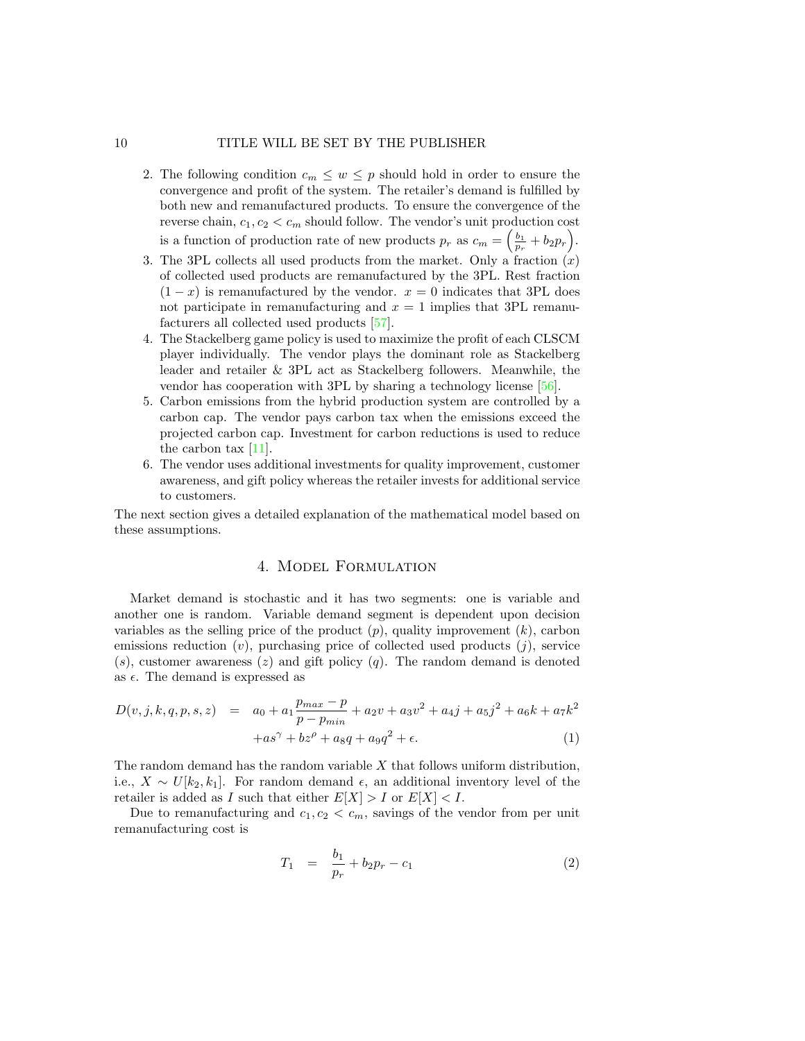- 2. The following condition  $c_m \leq w \leq p$  should hold in order to ensure the convergence and profit of the system. The retailer's demand is fulfilled by both new and remanufactured products. To ensure the convergence of the reverse chain,  $c_1, c_2 < c_m$  should follow. The vendor's unit production cost is a function of production rate of new products  $p_r$  as  $c_m = \left(\frac{b_1}{p_r} + b_2 p_r\right)$ .
- 3. The 3PL collects all used products from the market. Only a fraction  $(x)$ of collected used products are remanufactured by the 3PL. Rest fraction  $(1-x)$  is remanufactured by the vendor.  $x=0$  indicates that 3PL does not participate in remanufacturing and  $x = 1$  implies that 3PL remanufacturers all collected used products [\[57\]](#page-34-18).
- 4. The Stackelberg game policy is used to maximize the profit of each CLSCM player individually. The vendor plays the dominant role as Stackelberg leader and retailer & 3PL act as Stackelberg followers. Meanwhile, the vendor has cooperation with 3PL by sharing a technology license [\[56\]](#page-34-0).
- 5. Carbon emissions from the hybrid production system are controlled by a carbon cap. The vendor pays carbon tax when the emissions exceed the projected carbon cap. Investment for carbon reductions is used to reduce the carbon tax  $[11]$ .
- 6. The vendor uses additional investments for quality improvement, customer awareness, and gift policy whereas the retailer invests for additional service to customers.

The next section gives a detailed explanation of the mathematical model based on these assumptions.

## 4. Model Formulation

Market demand is stochastic and it has two segments: one is variable and another one is random. Variable demand segment is dependent upon decision variables as the selling price of the product  $(p)$ , quality improvement  $(k)$ , carbon emissions reduction  $(v)$ , purchasing price of collected used products  $(j)$ , service  $(s)$ , customer awareness  $(z)$  and gift policy  $(q)$ . The random demand is denoted as  $\epsilon$ . The demand is expressed as

$$
D(v,j,k,q,p,s,z) = a_0 + a_1 \frac{p_{max} - p}{p - p_{min}} + a_2 v + a_3 v^2 + a_4 j + a_5 j^2 + a_6 k + a_7 k^2
$$
  
+as<sup>γ</sup> + bs<sup>ρ</sup> + asq + asq<sup>2</sup> + ε. (1)

The random demand has the random variable  $X$  that follows uniform distribution, i.e.,  $X \sim U[k_2, k_1]$ . For random demand  $\epsilon$ , an additional inventory level of the retailer is added as I such that either  $E[X] > I$  or  $E[X] < I$ .

Due to remanufacturing and  $c_1, c_2 < c_m$ , savings of the vendor from per unit remanufacturing cost is

$$
T_1 = \frac{b_1}{p_r} + b_2 p_r - c_1 \tag{2}
$$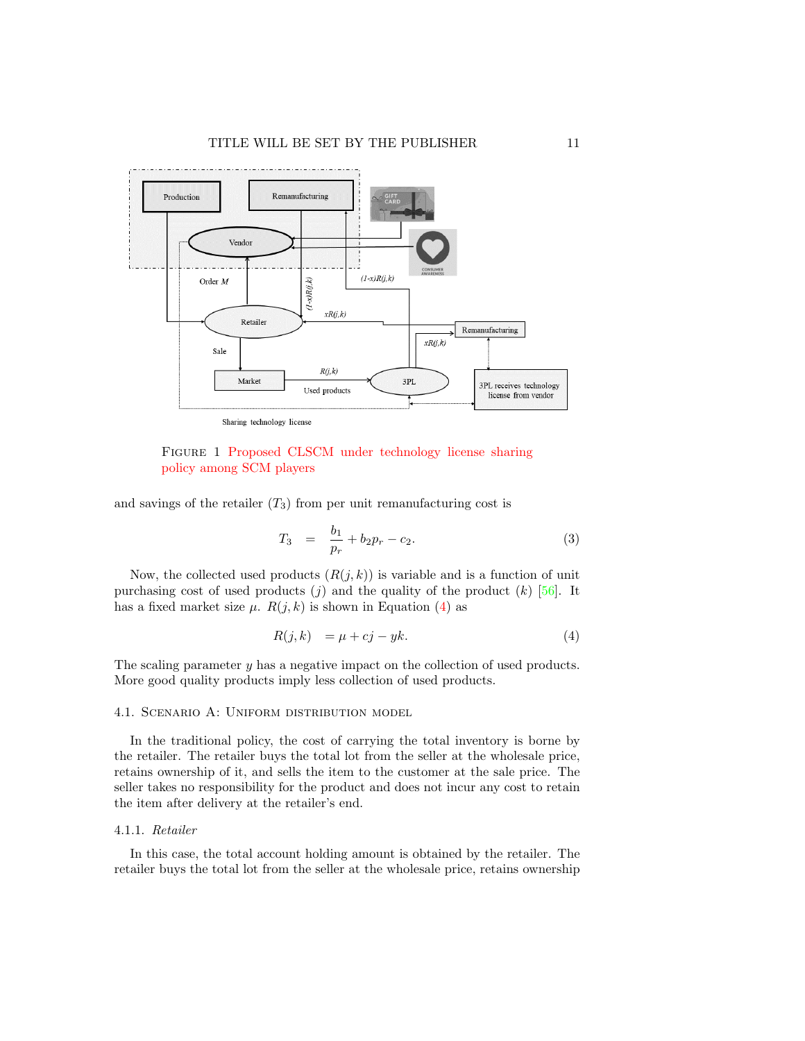<span id="page-10-0"></span>

Figure 1 Proposed CLSCM under technology license sharing policy among SCM players

and savings of the retailer  $(T_3)$  from per unit remanufacturing cost is

$$
T_3 = \frac{b_1}{p_r} + b_2 p_r - c_2. \tag{3}
$$

Now, the collected used products  $(R(j, k))$  is variable and is a function of unit purchasing cost of used products  $(j)$  and the quality of the product  $(k)$  [\[56\]](#page-34-0). It has a fixed market size  $\mu$ .  $R(j, k)$  is shown in Equation [\(4\)](#page-10-1) as

<span id="page-10-1"></span>
$$
R(j,k) = \mu + cj - yk. \tag{4}
$$

The scaling parameter y has a negative impact on the collection of used products. More good quality products imply less collection of used products.

#### 4.1. Scenario A: Uniform distribution model

In the traditional policy, the cost of carrying the total inventory is borne by the retailer. The retailer buys the total lot from the seller at the wholesale price, retains ownership of it, and sells the item to the customer at the sale price. The seller takes no responsibility for the product and does not incur any cost to retain the item after delivery at the retailer's end.

#### 4.1.1. Retailer

In this case, the total account holding amount is obtained by the retailer. The retailer buys the total lot from the seller at the wholesale price, retains ownership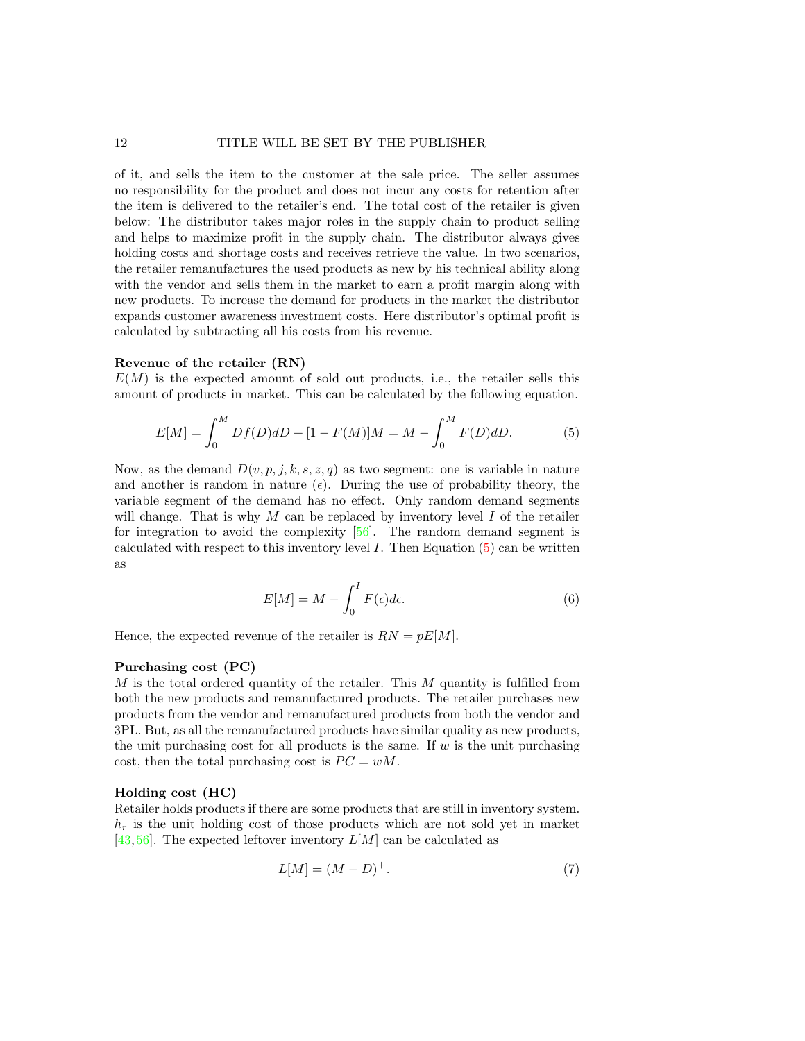of it, and sells the item to the customer at the sale price. The seller assumes no responsibility for the product and does not incur any costs for retention after the item is delivered to the retailer's end. The total cost of the retailer is given below: The distributor takes major roles in the supply chain to product selling and helps to maximize profit in the supply chain. The distributor always gives holding costs and shortage costs and receives retrieve the value. In two scenarios, the retailer remanufactures the used products as new by his technical ability along with the vendor and sells them in the market to earn a profit margin along with new products. To increase the demand for products in the market the distributor expands customer awareness investment costs. Here distributor's optimal profit is calculated by subtracting all his costs from his revenue.

#### Revenue of the retailer (RN)

 $E(M)$  is the expected amount of sold out products, i.e., the retailer sells this amount of products in market. This can be calculated by the following equation.

<span id="page-11-0"></span>
$$
E[M] = \int_0^M Df(D) dD + [1 - F(M)]M = M - \int_0^M F(D) dD.
$$
 (5)

Now, as the demand  $D(v, p, j, k, s, z, q)$  as two segment: one is variable in nature and another is random in nature  $(\epsilon)$ . During the use of probability theory, the variable segment of the demand has no effect. Only random demand segments will change. That is why M can be replaced by inventory level I of the retailer for integration to avoid the complexity [\[56\]](#page-34-0). The random demand segment is calculated with respect to this inventory level  $I$ . Then Equation  $(5)$  can be written as

$$
E[M] = M - \int_0^I F(\epsilon) d\epsilon.
$$
 (6)

Hence, the expected revenue of the retailer is  $RN = pE[M]$ .

#### Purchasing cost (PC)

M is the total ordered quantity of the retailer. This M quantity is fulfilled from both the new products and remanufactured products. The retailer purchases new products from the vendor and remanufactured products from both the vendor and 3PL. But, as all the remanufactured products have similar quality as new products, the unit purchasing cost for all products is the same. If  $w$  is the unit purchasing cost, then the total purchasing cost is  $PC = wM$ .

#### Holding cost (HC)

Retailer holds products if there are some products that are still in inventory system.  $h_r$  is the unit holding cost of those products which are not sold yet in market [\[43,](#page-34-3) [56\]](#page-34-0). The expected leftover inventory  $L[M]$  can be calculated as

$$
L[M] = (M - D)^{+}.
$$
 (7)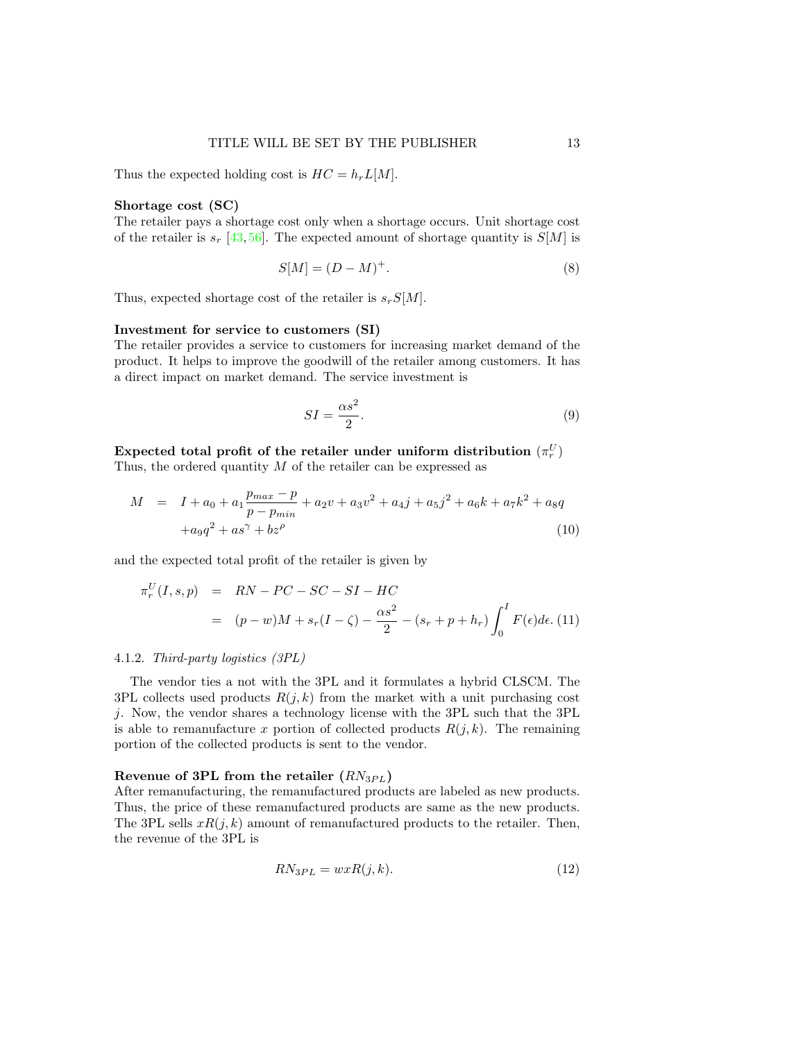Thus the expected holding cost is  $HC = h<sub>r</sub> L[M]$ .

#### Shortage cost (SC)

The retailer pays a shortage cost only when a shortage occurs. Unit shortage cost of the retailer is  $s_r$  [\[43,](#page-34-3) [56\]](#page-34-0). The expected amount of shortage quantity is  $S[M]$  is

$$
S[M] = (D - M)^{+}.
$$
\n
$$
(8)
$$

Thus, expected shortage cost of the retailer is  $s_rS[M]$ .

## Investment for service to customers (SI)

The retailer provides a service to customers for increasing market demand of the product. It helps to improve the goodwill of the retailer among customers. It has a direct impact on market demand. The service investment is

$$
SI = \frac{\alpha s^2}{2}.
$$
\n(9)

Expected total profit of the retailer under uniform distribution  $(\pi_r^U)$ 

Thus, the ordered quantity  $M$  of the retailer can be expressed as

<span id="page-12-0"></span>
$$
M = I + a_0 + a_1 \frac{p_{max} - p}{p - p_{min}} + a_2 v + a_3 v^2 + a_4 j + a_5 j^2 + a_6 k + a_7 k^2 + a_8 q
$$
  
+
$$
a_9 q^2 + a_8 \gamma + b_8 \gamma
$$
 (10)

and the expected total profit of the retailer is given by

<span id="page-12-1"></span>
$$
\pi_r^U(I, s, p) = RN - PC - SC - SI - HC
$$
  
= 
$$
(p - w)M + s_r(I - \zeta) - \frac{\alpha s^2}{2} - (s_r + p + h_r) \int_0^I F(\epsilon) d\epsilon.
$$
 (11)

#### 4.1.2. Third-party logistics (3PL)

The vendor ties a not with the 3PL and it formulates a hybrid CLSCM. The 3PL collects used products  $R(j, k)$  from the market with a unit purchasing cost j. Now, the vendor shares a technology license with the 3PL such that the 3PL is able to remanufacture x portion of collected products  $R(j, k)$ . The remaining portion of the collected products is sent to the vendor.

#### Revenue of 3PL from the retailer  $(RN_{3PL})$

After remanufacturing, the remanufactured products are labeled as new products. Thus, the price of these remanufactured products are same as the new products. The 3PL sells  $xR(j, k)$  amount of remanufactured products to the retailer. Then, the revenue of the 3PL is

$$
RN_{3PL} = wxR(j,k). \tag{12}
$$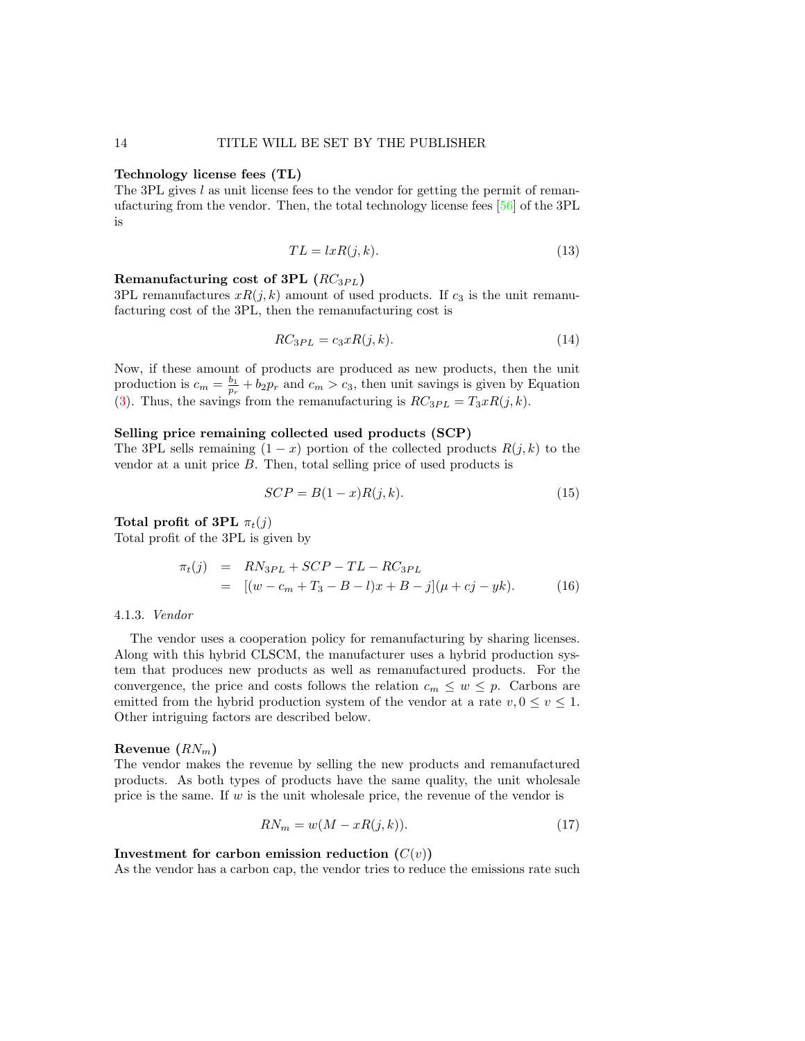#### Technology license fees (TL)

The 3PL gives l as unit license fees to the vendor for getting the permit of remanufacturing from the vendor. Then, the total technology license fees [\[56\]](#page-34-0) of the 3PL is

$$
TL = lxR(j, k). \tag{13}
$$

### Remanufacturing cost of 3PL  $(RC_{3PL})$

3PL remanufactures  $xR(j, k)$  amount of used products. If  $c_3$  is the unit remanufacturing cost of the 3PL, then the remanufacturing cost is

$$
RC_{3PL} = c_3xR(j,k). \tag{14}
$$

Now, if these amount of products are produced as new products, then the unit production is  $c_m = \frac{b_1}{p_r} + b_2 p_r$  and  $c_m > c_3$ , then unit savings is given by Equation [\(3\)](#page-17-0). Thus, the savings from the remanufacturing is  $RC_{3PL} = T_3xR(j, k)$ .

#### Selling price remaining collected used products (SCP)

The 3PL sells remaining  $(1 - x)$  portion of the collected products  $R(j, k)$  to the vendor at a unit price B. Then, total selling price of used products is

$$
SCP = B(1-x)R(j,k). \tag{15}
$$

## Total profit of 3PL  $\pi_t(i)$

Total profit of the 3PL is given by

<span id="page-13-0"></span>
$$
\pi_t(j) = RN_{3PL} + SCP - TL - RC_{3PL}
$$
  
= 
$$
[(w - c_m + T_3 - B - l)x + B - j](\mu + cj - yk).
$$
 (16)

#### 4.1.3. Vendor

The vendor uses a cooperation policy for remanufacturing by sharing licenses. Along with this hybrid CLSCM, the manufacturer uses a hybrid production system that produces new products as well as remanufactured products. For the convergence, the price and costs follows the relation  $c_m \leq w \leq p$ . Carbons are emitted from the hybrid production system of the vendor at a rate  $v, 0 \le v \le 1$ . Other intriguing factors are described below.

#### Revenue  $(RN_m)$

The vendor makes the revenue by selling the new products and remanufactured products. As both types of products have the same quality, the unit wholesale price is the same. If  $w$  is the unit wholesale price, the revenue of the vendor is

$$
RN_m = w(M - xR(j, k)).
$$
\n<sup>(17)</sup>

#### Investment for carbon emission reduction  $(C(v))$

As the vendor has a carbon cap, the vendor tries to reduce the emissions rate such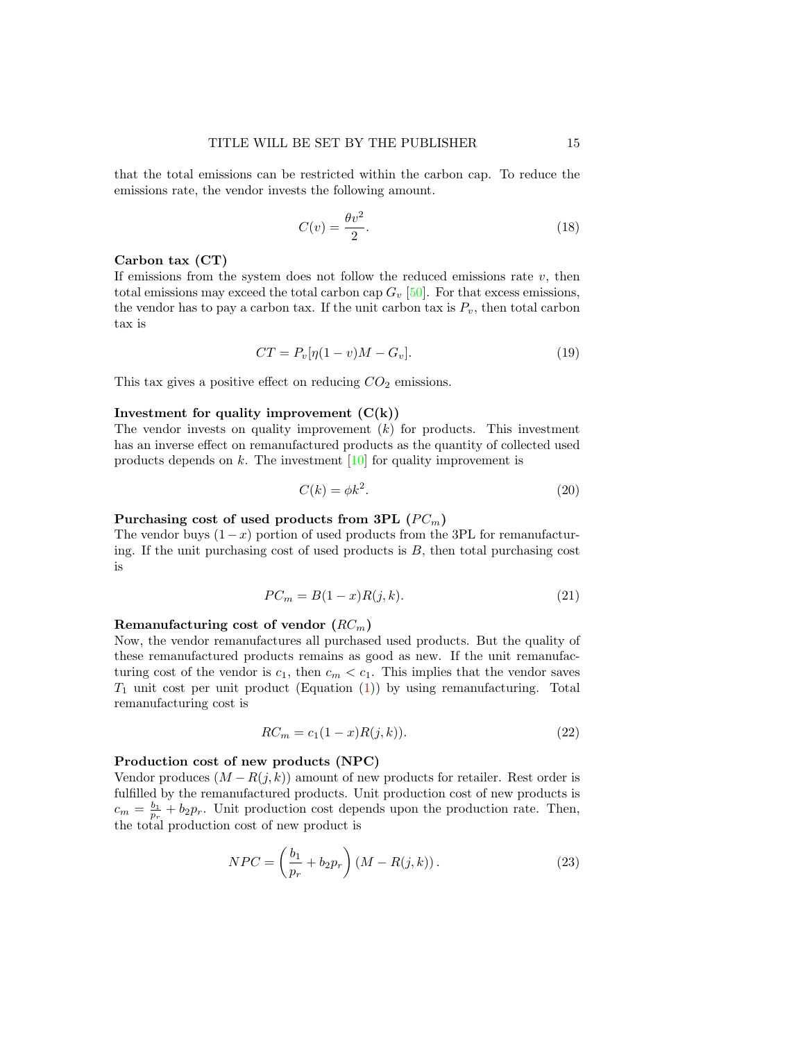that the total emissions can be restricted within the carbon cap. To reduce the emissions rate, the vendor invests the following amount.

$$
C(v) = \frac{\theta v^2}{2}.
$$
\n(18)

#### Carbon tax (CT)

If emissions from the system does not follow the reduced emissions rate  $v$ , then total emissions may exceed the total carbon cap  $G_v$  [\[50\]](#page-34-19). For that excess emissions, the vendor has to pay a carbon tax. If the unit carbon tax is  $P_v$ , then total carbon tax is

$$
CT = P_v[\eta(1-v)M - G_v].\tag{19}
$$

This tax gives a positive effect on reducing  $CO<sub>2</sub>$  emissions.

#### Investment for quality improvement  $(C(k))$

The vendor invests on quality improvement  $(k)$  for products. This investment has an inverse effect on remanufactured products as the quantity of collected used products depends on  $k$ . The investment  $[10]$  for quality improvement is

$$
C(k) = \phi k^2. \tag{20}
$$

## Purchasing cost of used products from 3PL  $(PC_m)$

The vendor buys  $(1-x)$  portion of used products from the 3PL for remanufacturing. If the unit purchasing cost of used products is  $B$ , then total purchasing cost is

$$
PC_m = B(1-x)R(j,k). \tag{21}
$$

### Remanufacturing cost of vendor  $(RC_m)$

Now, the vendor remanufactures all purchased used products. But the quality of these remanufactured products remains as good as new. If the unit remanufacturing cost of the vendor is  $c_1$ , then  $c_m < c_1$ . This implies that the vendor saves  $T_1$  unit cost per unit product (Equation [\(1\)](#page-17-1)) by using remanufacturing. Total remanufacturing cost is

$$
RC_m = c_1(1-x)R(j,k)).
$$
\n(22)

#### Production cost of new products (NPC)

Vendor produces  $(M - R(j, k))$  amount of new products for retailer. Rest order is fulfilled by the remanufactured products. Unit production cost of new products is  $c_m = \frac{b_1}{p_r} + b_2 p_r$ . Unit production cost depends upon the production rate. Then, the total production cost of new product is

$$
NPC = \left(\frac{b_1}{p_r} + b_2 p_r\right) \left(M - R(j, k)\right). \tag{23}
$$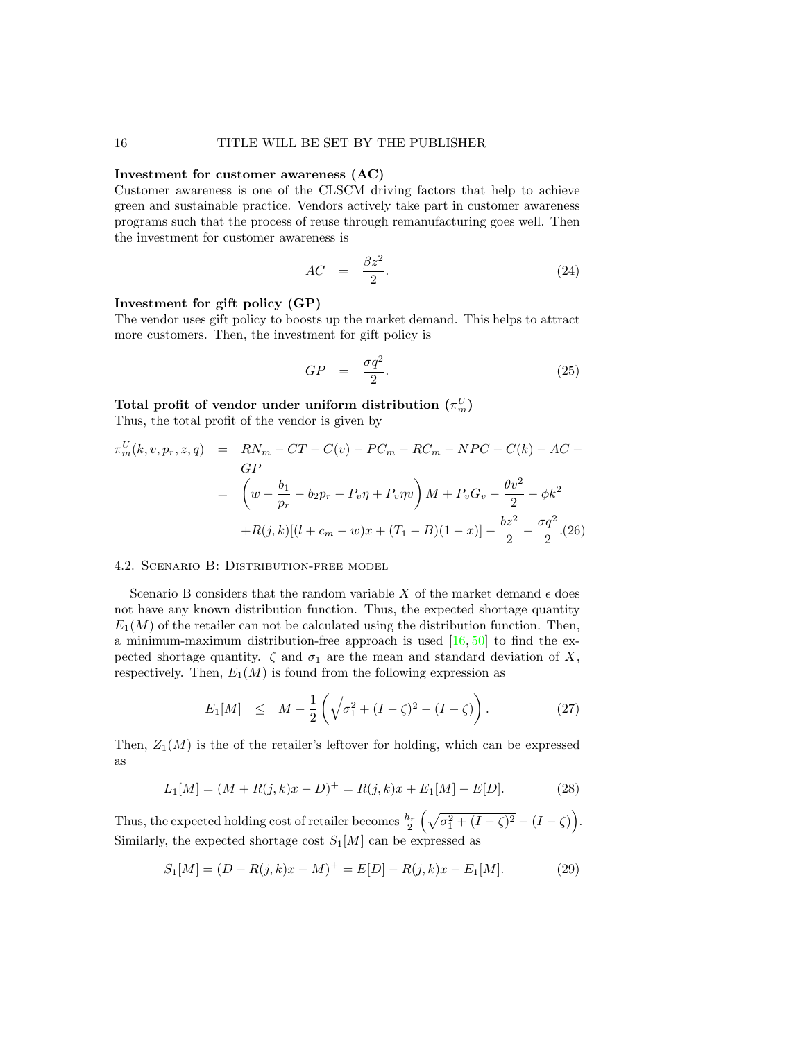### Investment for customer awareness (AC)

Customer awareness is one of the CLSCM driving factors that help to achieve green and sustainable practice. Vendors actively take part in customer awareness programs such that the process of reuse through remanufacturing goes well. Then the investment for customer awareness is

$$
AC = \frac{\beta z^2}{2}.
$$
 (24)

### Investment for gift policy (GP)

The vendor uses gift policy to boosts up the market demand. This helps to attract more customers. Then, the investment for gift policy is

$$
GP = \frac{\sigma q^2}{2}.
$$
\n(25)

# Total profit of vendor under uniform distribution  $(\pi_m^U)$

Thus, the total profit of the vendor is given by

<span id="page-15-0"></span>
$$
\pi_m^U(k, v, p_r, z, q) = RN_m - CT - C(v) - PC_m - RC_m - NPC - C(k) - AC - G
$$
  
\n
$$
= \left( w - \frac{b_1}{p_r} - b_2 p_r - P_v \eta + P_v \eta v \right) M + P_v G_v - \frac{\theta v^2}{2} - \phi k^2
$$
  
\n
$$
+ R(j, k)[(l + c_m - w)x + (T_1 - B)(1 - x)] - \frac{bz^2}{2} - \frac{\sigma q^2}{2}. (26)
$$

#### 4.2. Scenario B: Distribution-free model

Scenario B considers that the random variable X of the market demand  $\epsilon$  does not have any known distribution function. Thus, the expected shortage quantity  $E_1(M)$  of the retailer can not be calculated using the distribution function. Then, a minimum-maximum distribution-free approach is used  $[16, 50]$  $[16, 50]$  $[16, 50]$  to find the expected shortage quantity.  $\zeta$  and  $\sigma_1$  are the mean and standard deviation of X, respectively. Then,  $E_1(M)$  is found from the following expression as

$$
E_1[M] \leq M - \frac{1}{2} \left( \sqrt{\sigma_1^2 + (I - \zeta)^2} - (I - \zeta) \right). \tag{27}
$$

Then,  $Z_1(M)$  is the of the retailer's leftover for holding, which can be expressed as

$$
L_1[M] = (M + R(j,k)x - D)^+ = R(j,k)x + E_1[M] - E[D].
$$
\n(28)

Thus, the expected holding cost of retailer becomes  $\frac{h_r}{2} \left( \sqrt{\sigma_1^2 + (I - \zeta)^2} - (I - \zeta) \right)$ . Similarly, the expected shortage cost  $S_1[M]$  can be expressed as

$$
S_1[M] = (D - R(j,k)x - M)^{+} = E[D] - R(j,k)x - E_1[M].
$$
 (29)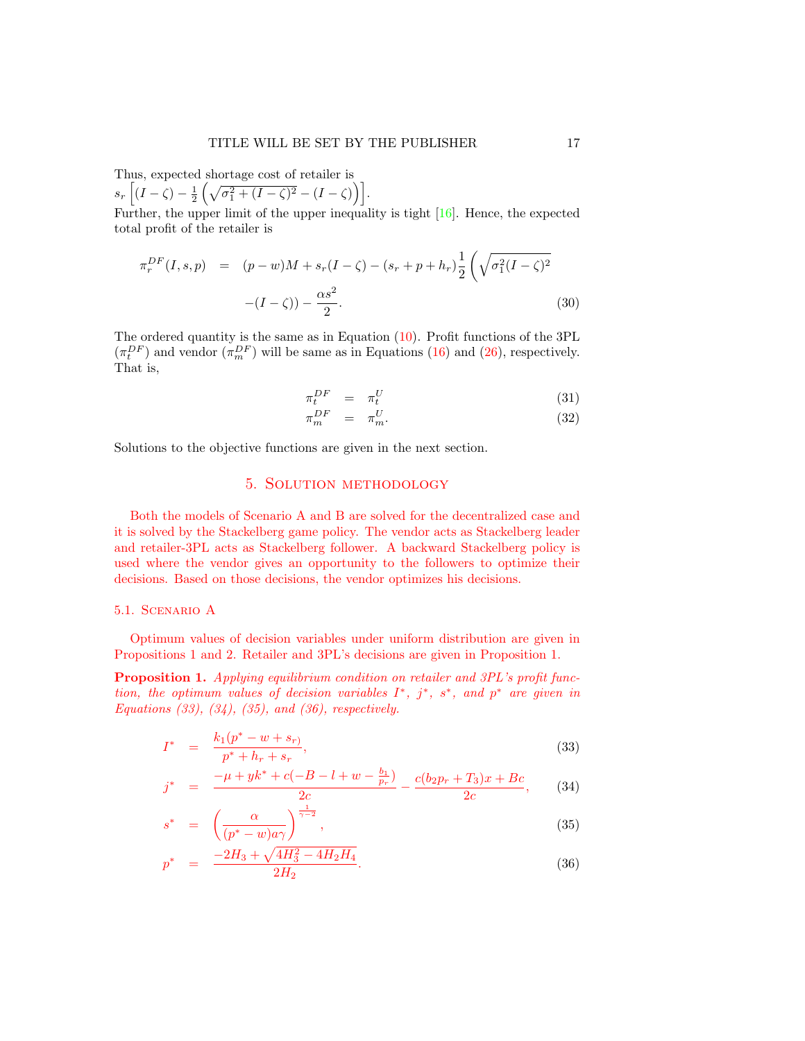Thus, expected shortage cost of retailer is  $s_r \left[ (I - \zeta) - \frac{1}{2} \left( \sqrt{\sigma_1^2 + (I - \zeta)^2} - (I - \zeta) \right) \right].$ 

Further, the upper limit of the upper inequality is tight  $[16]$ . Hence, the expected total profit of the retailer is

<span id="page-16-2"></span>
$$
\pi_r^{DF}(I, s, p) = (p - w)M + s_r(I - \zeta) - (s_r + p + h_r) \frac{1}{2} \left( \sqrt{\sigma_1^2 (I - \zeta)^2} - (I - \zeta) \right) - \frac{\alpha s^2}{2}.
$$
\n(30)

The ordered quantity is the same as in Equation [\(10\)](#page-12-0). Profit functions of the 3PL  $(\pi_t^{DF})$  and vendor  $(\pi_m^{DF})$  will be same as in Equations [\(16\)](#page-13-0) and [\(26\)](#page-15-0), respectively. That is,

<span id="page-16-3"></span>
$$
\pi_t^{DF} = \pi_t^U \tag{31}
$$

$$
\pi_m^{DF} = \pi_m^U. \tag{32}
$$

Solutions to the objective functions are given in the next section.

## 5. Solution methodology

Both the models of Scenario A and B are solved for the decentralized case and it is solved by the Stackelberg game policy. The vendor acts as Stackelberg leader and retailer-3PL acts as Stackelberg follower. A backward Stackelberg policy is used where the vendor gives an opportunity to the followers to optimize their decisions. Based on those decisions, the vendor optimizes his decisions.

#### 5.1. Scenario A

Optimum values of decision variables under uniform distribution are given in Propositions [1](#page-16-0) and [2.](#page-17-2) Retailer and 3PL's decisions are given in Proposition [1.](#page-16-0)

<span id="page-16-0"></span>Proposition 1. Applying equilibrium condition on retailer and 3PL's profit function, the optimum values of decision variables  $I^*, j^*, s^*,$  and  $p^*$  are given in Equations  $(33)$ ,  $(34)$ ,  $(35)$ , and  $(36)$ , respectively.

<span id="page-16-1"></span>
$$
I^* = \frac{k_1(p^* - w + s_r)}{p^* + h_r + s_r},
$$
\n(33)

$$
j^* = \frac{-\mu + yk^* + c(-B - l + w - \frac{b_1}{p_r})}{2c} - \frac{c(b_2p_r + T_3)x + Bc}{2c}, \qquad (34)
$$

$$
s^* = \left(\frac{\alpha}{(p^* - w)a\gamma}\right)^{\frac{1}{\gamma - 2}},\tag{35}
$$

$$
p^* = \frac{-2H_3 + \sqrt{4H_3^2 - 4H_2H_4}}{2H_2}.
$$
\n(36)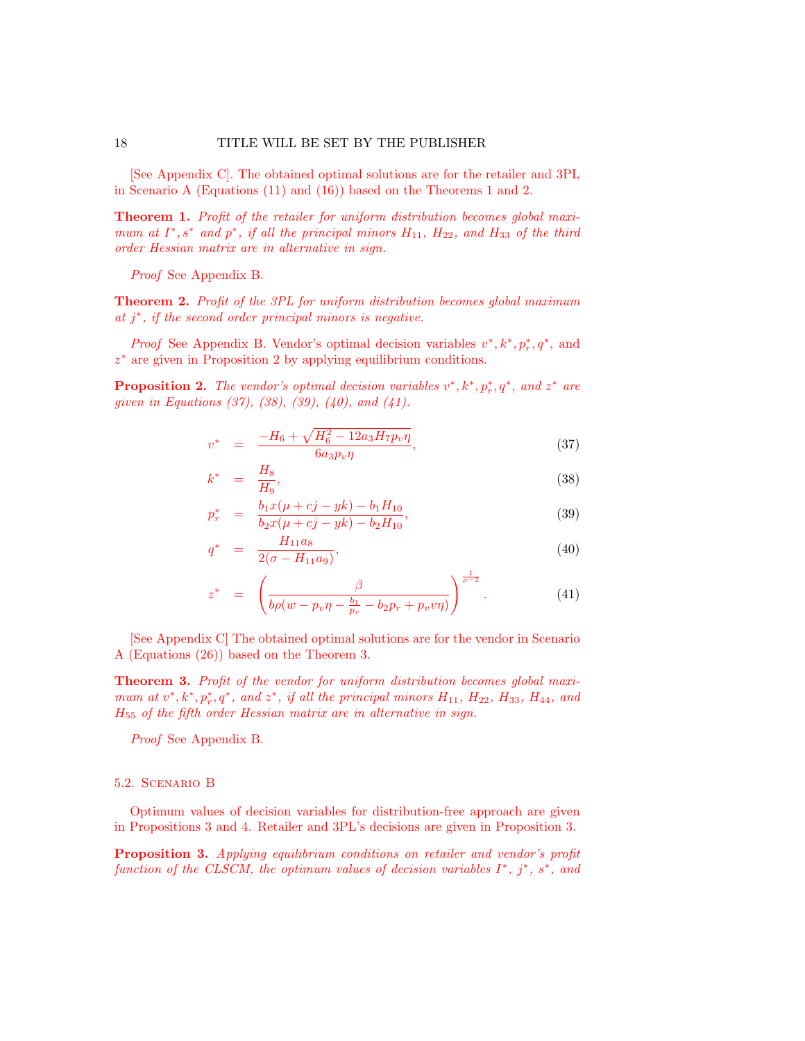[See Appendix C]. The obtained optimal solutions are for the retailer and 3PL in Scenario A (Equations [\(11\)](#page-12-1) and [\(16\)](#page-13-0)) based on the Theorems [1](#page-17-1) and [2.](#page-17-3)

<span id="page-17-1"></span>Theorem 1. Profit of the retailer for uniform distribution becomes global maximum at  $I^*, s^*$  and  $p^*,$  if all the principal minors  $H_{11}$ ,  $H_{22}$ , and  $H_{33}$  of the third order Hessian matrix are in alternative in sign.

Proof See Appendix B.

<span id="page-17-3"></span>Theorem 2. Profit of the 3PL for uniform distribution becomes global maximum at j ∗ , if the second order principal minors is negative.

*Proof* See Appendix B. Vendor's optimal decision variables  $v^*, k^*, p_r^*, q^*$ , and z <sup>∗</sup> are given in Proposition [2](#page-17-2) by applying equilibrium conditions.

<span id="page-17-2"></span>**Proposition 2.** The vendor's optimal decision variables  $v^*, k^*, p^*_r, q^*,$  and  $z^*$  are given in Equations  $(37)$ ,  $(38)$ ,  $(39)$ ,  $(40)$ , and  $(41)$ .

<span id="page-17-4"></span>
$$
v^* = \frac{-H_6 + \sqrt{H_6^2 - 12a_3H_7p_v\eta}}{6a_3p_v\eta},
$$
\n(37)

$$
k^* = \frac{H_8}{H_9},\tag{38}
$$

$$
p_r^* = \frac{b_1 x (\mu + c j - y k) - b_1 H_{10}}{b_2 x (\mu + c j - y k) - b_2 H_{10}},
$$
\n(39)

$$
q^* = \frac{H_{11}a_8}{2(\sigma - H_{11}a_9)},\tag{40}
$$

$$
z^* = \left( \frac{\beta}{b\rho(w - p_v \eta - \frac{b_1}{p_r} - b_2 p_r + p_v v \eta)} \right)^{\frac{1}{\rho - 2}}.
$$
 (41)

[See Appendix C] The obtained optimal solutions are for the vendor in Scenario A (Equations [\(26\)](#page-15-0)) based on the Theorem [3.](#page-17-0)

<span id="page-17-0"></span>Theorem 3. Profit of the vendor for uniform distribution becomes global maximum at  $v^*, k^*, p^*_r, q^*$ , and  $z^*$ , if all the principal minors  $H_{11}$ ,  $H_{22}$ ,  $H_{33}$ ,  $H_{44}$ , and H<sup>55</sup> of the fifth order Hessian matrix are in alternative in sign.

Proof See Appendix B.

#### 5.2. Scenario B

Optimum values of decision variables for distribution-free approach are given in Propositions [3](#page-17-5) and [4.](#page-18-0) Retailer and 3PL's decisions are given in Proposition [3.](#page-17-5)

<span id="page-17-5"></span>Proposition 3. Applying equilibrium conditions on retailer and vendor's profit function of the CLSCM, the optimum values of decision variables  $I^*, j^*, s^*,$  and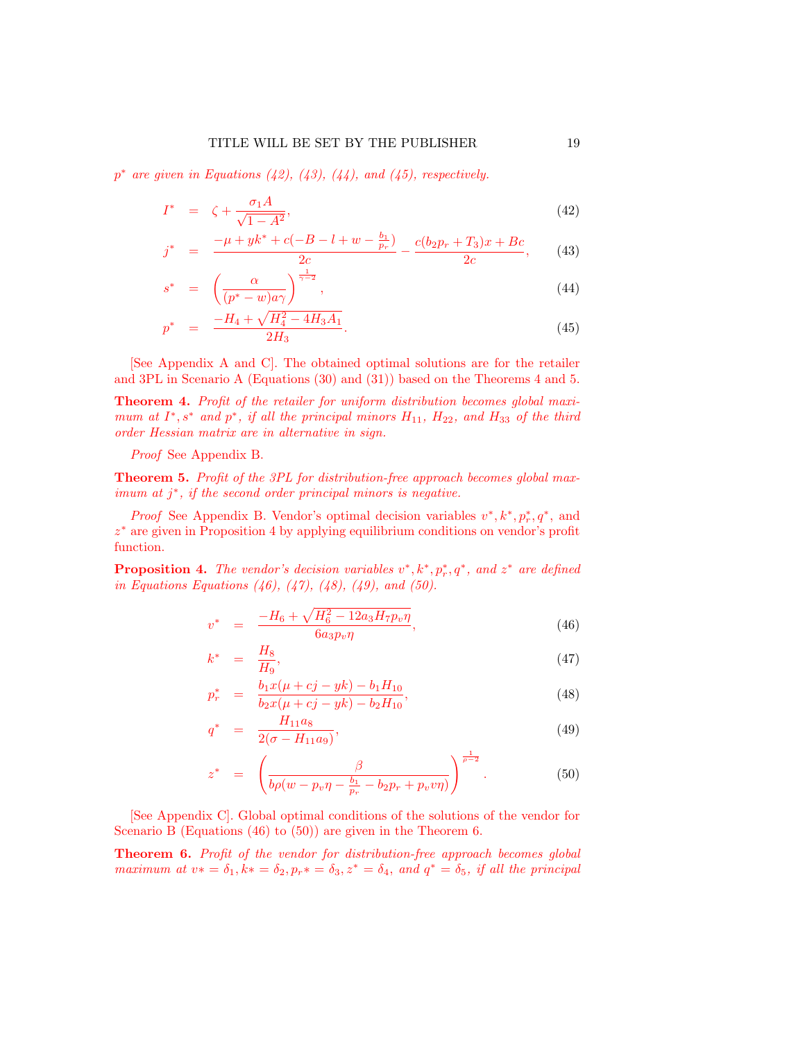$p^*$  are given in Equations [\(42\)](#page-18-1), [\(43\)](#page-18-1), [\(44\)](#page-18-1), and [\(45\)](#page-18-1), respectively.

<span id="page-18-1"></span>
$$
I^* = \zeta + \frac{\sigma_1 A}{\sqrt{1 - A^2}},\tag{42}
$$

$$
j^* = \frac{-\mu + yk^* + c(-B - l + w - \frac{b_1}{p_r})}{2c} - \frac{c(b_2p_r + T_3)x + Bc}{2c}, \qquad (43)
$$

$$
s^* = \left(\frac{\alpha}{(p^* - w)a\gamma}\right)^{\frac{1}{\gamma - 2}},\tag{44}
$$

$$
p^* = \frac{-H_4 + \sqrt{H_4^2 - 4H_3A_1}}{2H_3}.
$$
\n(45)

[See Appendix A and C]. The obtained optimal solutions are for the retailer and 3PL in Scenario A (Equations [\(30\)](#page-16-2) and [\(31\)](#page-16-3)) based on the Theorems [4](#page-18-2) and [5.](#page-18-3)

<span id="page-18-2"></span>Theorem 4. Profit of the retailer for uniform distribution becomes global maximum at  $I^*, s^*$  and  $p^*,$  if all the principal minors  $H_{11}$ ,  $H_{22}$ , and  $H_{33}$  of the third order Hessian matrix are in alternative in sign.

Proof See Appendix B.

<span id="page-18-3"></span>Theorem 5. Profit of the 3PL for distribution-free approach becomes global max- $\sum_{i=1}^{\infty}$  if the second order principal minors is negative.

*Proof* See Appendix B. Vendor's optimal decision variables  $v^*, k^*, p_r^*, q^*$ , and z <sup>∗</sup> are given in Proposition [4](#page-18-0) by applying equilibrium conditions on vendor's profit function.

<span id="page-18-0"></span>**Proposition 4.** The vendor's decision variables  $v^*, k^*, p_r^*, q^*$ , and  $z^*$  are defined in Equations Equations  $(46)$ ,  $(47)$ ,  $(48)$ ,  $(49)$ , and  $(50)$ .

<span id="page-18-4"></span>
$$
v^* = \frac{-H_6 + \sqrt{H_6^2 - 12a_3H_7p_v\eta}}{6a_3p_v\eta},\tag{46}
$$

$$
k^* = \frac{H_8}{H_9},\tag{47}
$$

$$
p_r^* = \frac{b_1 x (\mu + cj - yk) - b_1 H_{10}}{b_2 x (\mu + cj - yk) - b_2 H_{10}},
$$
\n(48)

$$
q^* = \frac{H_{11}a_8}{2(\sigma - H_{11}a_9)},\tag{49}
$$

$$
z^* = \left(\frac{\beta}{b\rho(w - p_v\eta - \frac{b_1}{p_r} - b_2p_r + p_vv\eta)}\right)^{\frac{1}{\rho - 2}}.
$$
 (50)

[See Appendix C]. Global optimal conditions of the solutions of the vendor for Scenario B (Equations [\(46\)](#page-18-4) to [\(50\)](#page-18-4)) are given in the Theorem [6.](#page-18-5)

<span id="page-18-5"></span>Theorem 6. Profit of the vendor for distribution-free approach becomes global maximum at  $v* = \delta_1, k* = \delta_2, p_r* = \delta_3, z^* = \delta_4$ , and  $q^* = \delta_5$ , if all the principal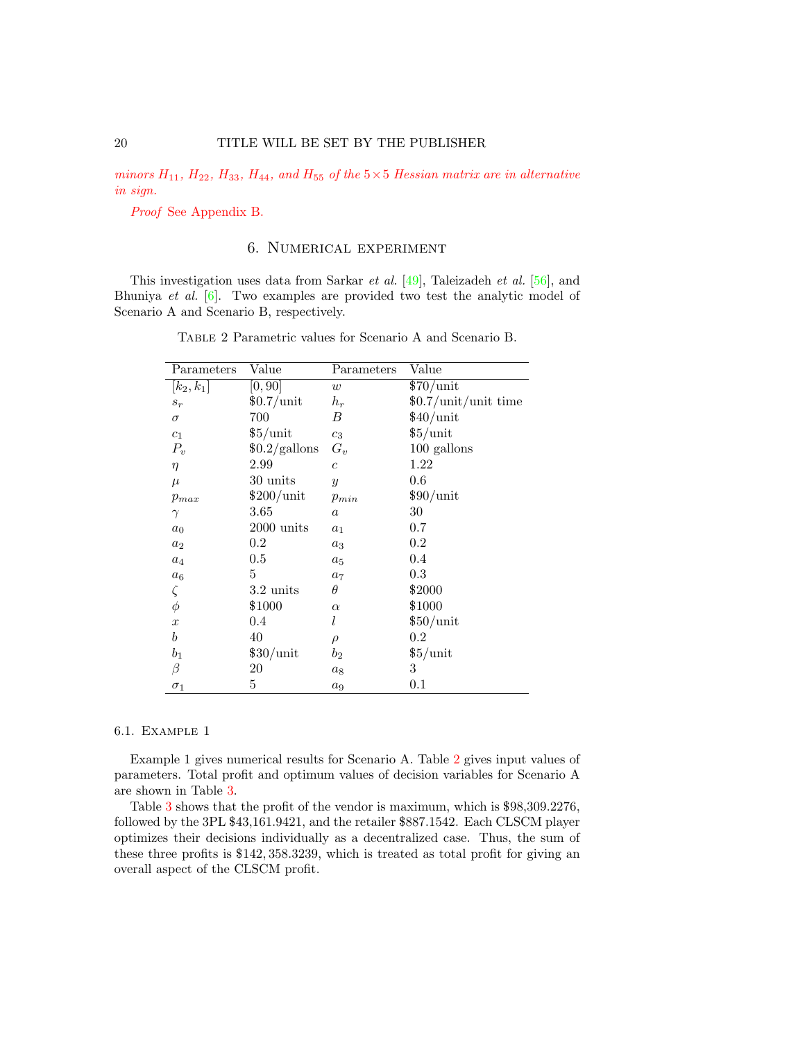minors  $H_{11}$ ,  $H_{22}$ ,  $H_{33}$ ,  $H_{44}$ , and  $H_{55}$  of the  $5 \times 5$  Hessian matrix are in alternative in sign.

Proof See Appendix B.

## 6. Numerical experiment

<span id="page-19-0"></span>This investigation uses data from Sarkar et al. [\[49\]](#page-34-12), Taleizadeh et al. [\[56\]](#page-34-0), and Bhuniya et al. [\[6\]](#page-32-1). Two examples are provided two test the analytic model of Scenario A and Scenario B, respectively.

| Parameters       | Value               | Parameters       | Value                |
|------------------|---------------------|------------------|----------------------|
| $[k_2, k_1]$     | [0, 90]             | w                | \$70/unit            |
| $s_r$            | $$0.7/$ unit        | $h_r$            | \$0.7/unit/unit time |
| $\sigma$         | 700                 | В                | \$40/unit            |
| $\mathfrak{c}_1$ | $$5/$ unit          | $c_3$            | $$5/$ unit           |
| $P_v$            | \$0.2/galn          | $G_v$            | 100 gallons          |
| $\eta$           | 2.99                | $\overline{c}$   | 1.22                 |
| $\mu$            | 30 units            | $\mathcal{Y}$    | 0.6                  |
| $p_{max}$        | $$200/$ unit        | $p_{min}$        | \$90/unit            |
| $\gamma$         | 3.65                | $\boldsymbol{a}$ | 30                   |
| $a_0$            | $2000$ units        | $a_1$            | $0.7\,$              |
| $a_2$            | $0.2\,$             | $a_3$            | $0.2\,$              |
| $a_4$            | 0.5                 | $a_5$            | 0.4                  |
| $a_6$            | 5                   | $a_7$            | $0.3\,$              |
| $\zeta$          | $3.2 \text{ units}$ | $\theta$         | \$2000               |
| $\phi$           | \$1000              | $\alpha$         | \$1000               |
| $\boldsymbol{x}$ | 0.4                 | l                | $$50/$ unit          |
| $\boldsymbol{b}$ | 40                  | $\rho$           | $0.2\,$              |
| $b_1$            | $$30/$ unit         | $b_2$            | $$5/$ unit           |
| β                | $20\,$              | $a_8$            | 3                    |
| $\sigma_1$       | 5                   | $a_9$            | 0.1                  |

Table 2 Parametric values for Scenario A and Scenario B.

#### 6.1. Example 1

Example 1 gives numerical results for Scenario A. Table [2](#page-19-0) gives input values of parameters. Total profit and optimum values of decision variables for Scenario A are shown in Table [3.](#page-20-0)

Table [3](#page-20-0) shows that the profit of the vendor is maximum, which is \$98,309.2276, followed by the 3PL \$43,161.9421, and the retailer \$887.1542. Each CLSCM player optimizes their decisions individually as a decentralized case. Thus, the sum of these three profits is \$142, 358.3239, which is treated as total profit for giving an overall aspect of the CLSCM profit.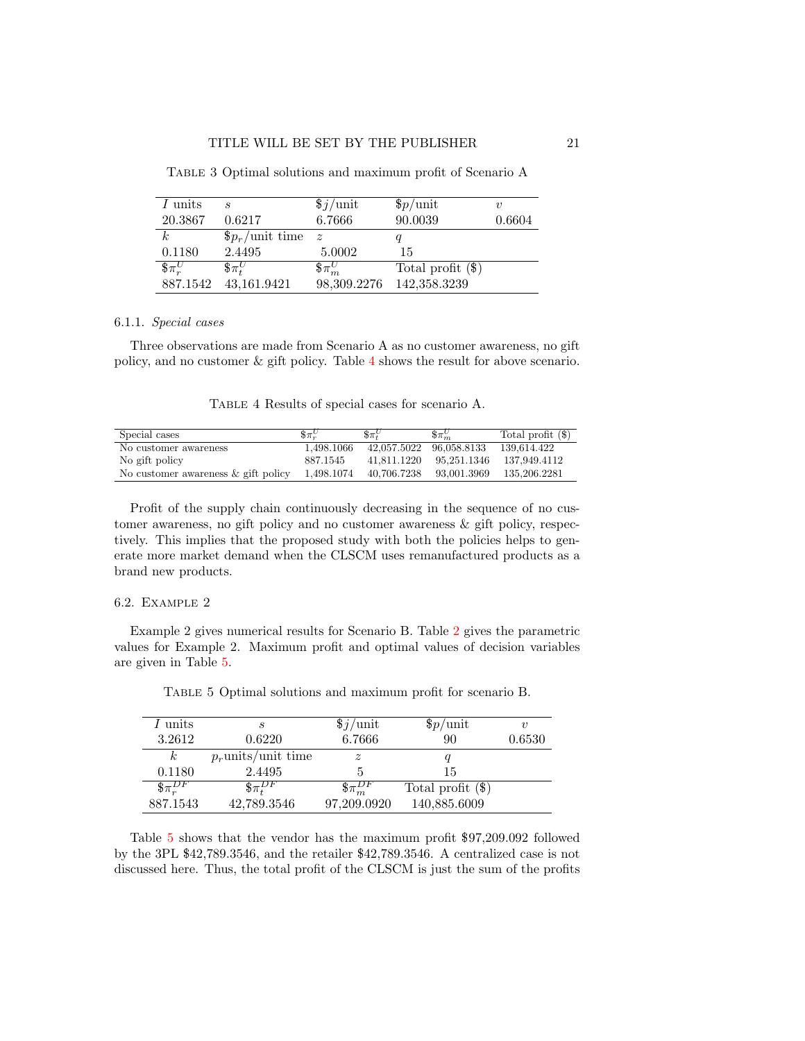| I units              | S                      | $\frac{1}{2}$ /unit           | \$p/unit            | $\boldsymbol{\eta}$ |
|----------------------|------------------------|-------------------------------|---------------------|---------------------|
| 20.3867              | 0.6217                 | 6.7666                        | 90.0039             | 0.6604              |
|                      | $\beta p_r$ /unit time | $\mathcal{Z}$                 |                     |                     |
| 0.1180               | 2.4495                 | 5.0002                        | 15                  |                     |
| $\mathcal{S}\pi_r^U$ | $\delta \pi^U$         | $\hbox{${\mathfrak{F}}$}^U_m$ | Total profit $(\$)$ |                     |
| 887.1542             | 43,161.9421            | 98,309.2276                   | 142,358.3239        |                     |

<span id="page-20-0"></span>Table 3 Optimal solutions and maximum profit of Scenario A

#### 6.1.1. Special cases

Three observations are made from Scenario A as no customer awareness, no gift policy, and no customer & gift policy. Table [4](#page-20-1) shows the result for above scenario.

Table 4 Results of special cases for scenario A.

<span id="page-20-1"></span>

| Special cases                       | $\delta \pi_{n}^{U}$ | $\delta \pi^U_i$ | $\delta \pi_{m}^{U}$ | Total profit $(\$)$ |
|-------------------------------------|----------------------|------------------|----------------------|---------------------|
| No customer awareness               | 1.498.1066           | 42,057.5022      | 96.058.8133          | 139.614.422         |
| No gift policy                      | 887.1545             | 41.811.1220      | 95.251.1346          | 137.949.4112        |
| No customer awareness & gift policy | 1,498.1074           | 40.706.7238      | 93.001.3969          | 135,206.2281        |

Profit of the supply chain continuously decreasing in the sequence of no customer awareness, no gift policy and no customer awareness & gift policy, respectively. This implies that the proposed study with both the policies helps to generate more market demand when the CLSCM uses remanufactured products as a brand new products.

#### 6.2. Example 2

Example 2 gives numerical results for Scenario B. Table [2](#page-19-0) gives the parametric values for Example 2. Maximum profit and optimal values of decision variables are given in Table [5.](#page-20-2)

<span id="page-20-2"></span>

| I units           | S                     | $\frac{1}{2}$ /unit | $$p/$ unit          | $\boldsymbol{\eta}$ |
|-------------------|-----------------------|---------------------|---------------------|---------------------|
| 3.2612            | 0.6220                | 6.7666              | 90                  | 0.6530              |
| $\kappa$          | $p_r$ units/unit time | $\tilde{z}$         |                     |                     |
| 0.1180            | 2.4495                |                     | 15                  |                     |
| $\S_{\pi_r^{DF}}$ | $\frac{1}{2} \pi P F$ |                     | Total profit $(\$)$ |                     |
| 887.1543          | 42,789.3546           | 97,209.0920         | 140,885.6009        |                     |

Table 5 Optimal solutions and maximum profit for scenario B.

Table [5](#page-20-2) shows that the vendor has the maximum profit \$97,209.092 followed by the 3PL \$42,789.3546, and the retailer \$42,789.3546. A centralized case is not discussed here. Thus, the total profit of the CLSCM is just the sum of the profits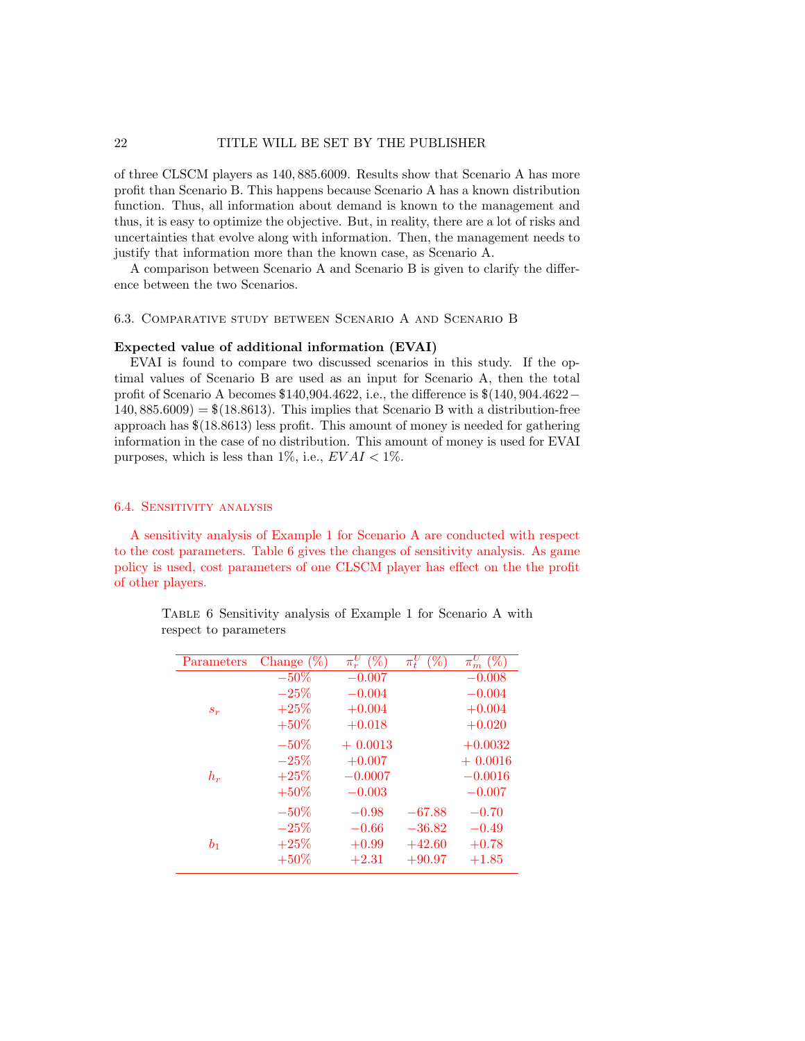of three CLSCM players as 140, 885.6009. Results show that Scenario A has more profit than Scenario B. This happens because Scenario A has a known distribution function. Thus, all information about demand is known to the management and thus, it is easy to optimize the objective. But, in reality, there are a lot of risks and uncertainties that evolve along with information. Then, the management needs to justify that information more than the known case, as Scenario A.

A comparison between Scenario A and Scenario B is given to clarify the difference between the two Scenarios.

#### 6.3. Comparative study between Scenario A and Scenario B

#### Expected value of additional information (EVAI)

EVAI is found to compare two discussed scenarios in this study. If the optimal values of Scenario B are used as an input for Scenario A, then the total profit of Scenario A becomes \$140,904.4622, i.e., the difference is \$(140, 904.4622−  $140, 885.6009$  = \$ $(18.8613)$ . This implies that Scenario B with a distribution-free approach has \$(18.8613) less profit. This amount of money is needed for gathering information in the case of no distribution. This amount of money is used for EVAI purposes, which is less than 1%, i.e.,  $EVAL < 1\%$ .

### 6.4. Sensitivity analysis

A sensitivity analysis of Example 1 for Scenario A are conducted with respect to the cost parameters. Table [6](#page-21-0) gives the changes of sensitivity analysis. As game policy is used, cost parameters of one CLSCM player has effect on the the profit of other players.

> <span id="page-21-0"></span>Table 6 Sensitivity analysis of Example 1 for Scenario A with respect to parameters

| Parameters     | Change $(\%)$ | $(\%$<br>$\pi_{\infty}^{U}$ | $\%$<br>$\pi_t^{\mathfrak{c}}$ | (%<br>$\pi_m^{\scriptscriptstyle\cup}$ |
|----------------|---------------|-----------------------------|--------------------------------|----------------------------------------|
|                | $-50\%$       | $-0.007$                    |                                | $-0.008$                               |
|                | $-25%$        | $-0.004$                    |                                | $-0.004$                               |
| $s_r$          | $+25%$        | $+0.004$                    |                                | $+0.004$                               |
|                | $+50\%$       | $+0.018$                    |                                | $+0.020$                               |
|                | $-50\%$       | $+0.0013$                   |                                | $+0.0032$                              |
|                | $-25%$        | $+0.007$                    |                                | $+0.0016$                              |
| $h_r$          | $+25%$        | $-0.0007$                   |                                | $-0.0016$                              |
|                | $+50\%$       | $-0.003$                    |                                | $-0.007$                               |
|                | $-50\%$       | $-0.98$                     | $-67.88$                       | $-0.70$                                |
|                | $-25\%$       | $-0.66$                     | $-36.82$                       | $-0.49$                                |
| b <sub>1</sub> | $+25%$        | $+0.99$                     | $+42.60$                       | $+0.78$                                |
|                | $+50\%$       | $+2.31$                     | $+90.97$                       | $+1.85$                                |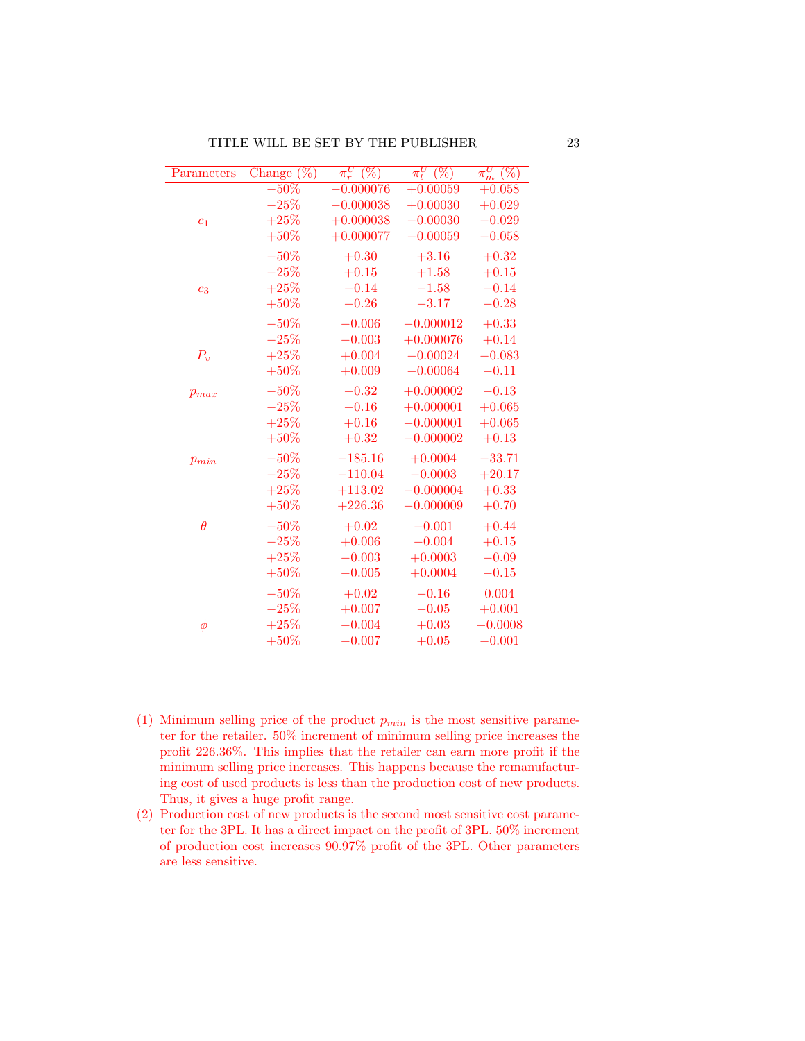| Parameters     | $\overline{\text{Change }(\%)}$ | $\pi_r^U$<br>$(\%)$ | $\pi^U_t$<br>$(\%)$ | U<br>$\overline{(\%)}$<br>$\pi_m^\upsilon$ |
|----------------|---------------------------------|---------------------|---------------------|--------------------------------------------|
|                | $-50%$                          | $-0.000076$         | $+0.00059$          | $+0.058$                                   |
|                | $-25%$                          | $-0.000038$         | $+0.00030$          | $+0.029$                                   |
| c <sub>1</sub> | $+25%$                          | $+0.000038$         | $-0.00030$          | $-0.029$                                   |
|                | $+50\%$                         | $+0.000077$         | $-0.00059$          | $-0.058$                                   |
|                | $-50%$                          | $+0.30$             | $+3.16$             | $+0.32$                                    |
|                | $-25%$                          | $+0.15$             | $+1.58$             | $+0.15$                                    |
| c <sub>3</sub> | $+25%$                          | $-0.14$             | $-1.58$             | $-0.14$                                    |
|                | $+50%$                          | $-0.26$             | $-3.17$             | $-0.28$                                    |
|                | $-50%$                          | $-0.006$            | $-0.000012$         | $+0.33$                                    |
|                | $-25%$                          | $-0.003$            | $+0.000076$         | $+0.14$                                    |
| $P_v$          | $+25%$                          | $+0.004$            | $-0.00024$          | $-0.083$                                   |
|                | $+50\%$                         | $+0.009$            | $-0.00064$          | $-0.11$                                    |
| $p_{max}$      | $-50%$                          | $-0.32$             | $+0.000002$         | $-0.13$                                    |
|                | $-25%$                          | $-0.16$             | $+0.000001$         | $+0.065$                                   |
|                | $+25%$                          | $+0.16$             | $-0.000001$         | $+0.065$                                   |
|                | $+50%$                          | $+0.32$             | $-0.000002$         | $+0.13$                                    |
| $p_{min}$      | $-50%$                          | $-185.16$           | $+0.0004$           | $-33.71$                                   |
|                | $-25%$                          | $-110.04$           | $-0.0003$           | $+20.17$                                   |
|                | $+25%$                          | $+113.02$           | $-0.000004$         | $+0.33$                                    |
|                | $+50%$                          | $+226.36$           | $-0.000009$         | $+0.70$                                    |
| $\theta$       | $-50%$                          | $+0.02$             | $-0.001$            | $+0.44$                                    |
|                | $-25%$                          | $+0.006$            | $-0.004$            | $+0.15$                                    |
|                | $+25%$                          | $-0.003$            | $+0.0003$           | $-0.09$                                    |
|                | $+50%$                          | $-0.005$            | $+0.0004$           | $-0.15$                                    |
|                | $-50%$                          | $+0.02$             | $-0.16$             | 0.004                                      |
|                | $-25%$                          | $+0.007$            | $-0.05$             | $+0.001$                                   |
| $\phi$         | $+25%$                          | $-0.004$            | $+0.03$             | $-0.0008$                                  |
|                | $+50%$                          | $-0.007$            | $+0.05$             | $-0.001$                                   |

- (1) Minimum selling price of the product  $p_{min}$  is the most sensitive parameter for the retailer. 50% increment of minimum selling price increases the profit 226.36%. This implies that the retailer can earn more profit if the minimum selling price increases. This happens because the remanufacturing cost of used products is less than the production cost of new products. Thus, it gives a huge profit range.
- (2) Production cost of new products is the second most sensitive cost parameter for the 3PL. It has a direct impact on the profit of 3PL. 50% increment of production cost increases 90.97% profit of the 3PL. Other parameters are less sensitive.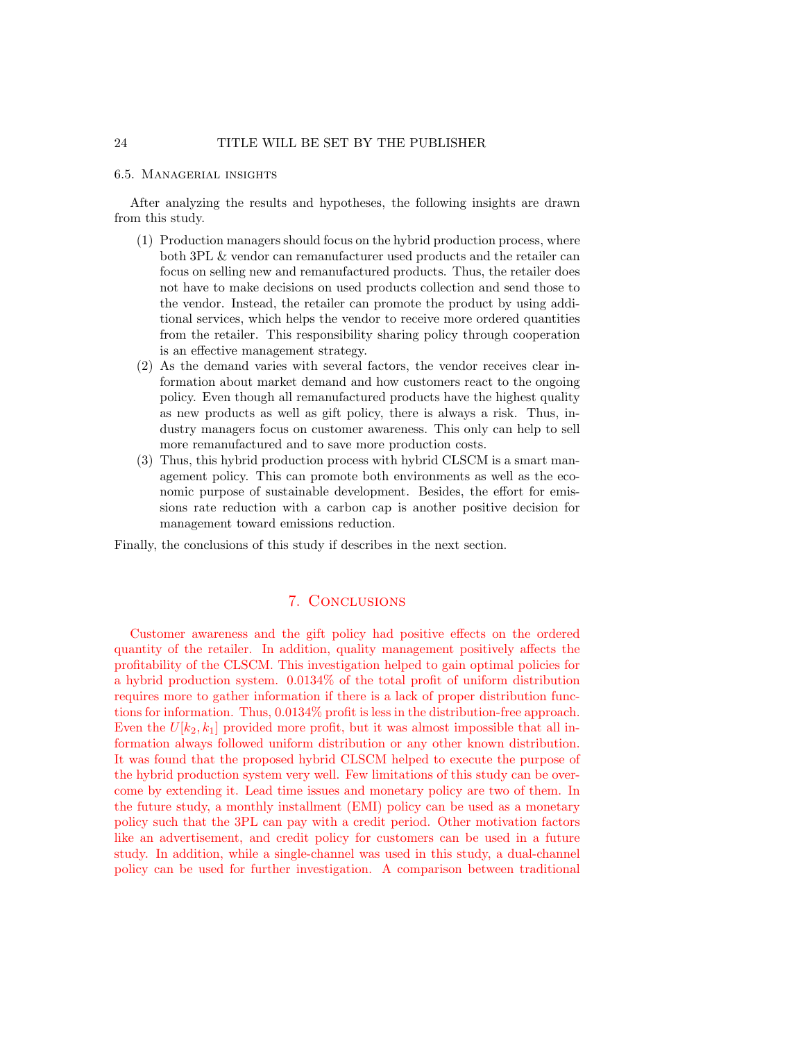#### 6.5. Managerial insights

After analyzing the results and hypotheses, the following insights are drawn from this study.

- (1) Production managers should focus on the hybrid production process, where both 3PL & vendor can remanufacturer used products and the retailer can focus on selling new and remanufactured products. Thus, the retailer does not have to make decisions on used products collection and send those to the vendor. Instead, the retailer can promote the product by using additional services, which helps the vendor to receive more ordered quantities from the retailer. This responsibility sharing policy through cooperation is an effective management strategy.
- (2) As the demand varies with several factors, the vendor receives clear information about market demand and how customers react to the ongoing policy. Even though all remanufactured products have the highest quality as new products as well as gift policy, there is always a risk. Thus, industry managers focus on customer awareness. This only can help to sell more remanufactured and to save more production costs.
- (3) Thus, this hybrid production process with hybrid CLSCM is a smart management policy. This can promote both environments as well as the economic purpose of sustainable development. Besides, the effort for emissions rate reduction with a carbon cap is another positive decision for management toward emissions reduction.

Finally, the conclusions of this study if describes in the next section.

## 7. Conclusions

Customer awareness and the gift policy had positive effects on the ordered quantity of the retailer. In addition, quality management positively affects the profitability of the CLSCM. This investigation helped to gain optimal policies for a hybrid production system. 0.0134% of the total profit of uniform distribution requires more to gather information if there is a lack of proper distribution functions for information. Thus, 0.0134% profit is less in the distribution-free approach. Even the  $U[k_2, k_1]$  provided more profit, but it was almost impossible that all information always followed uniform distribution or any other known distribution. It was found that the proposed hybrid CLSCM helped to execute the purpose of the hybrid production system very well. Few limitations of this study can be overcome by extending it. Lead time issues and monetary policy are two of them. In the future study, a monthly installment (EMI) policy can be used as a monetary policy such that the 3PL can pay with a credit period. Other motivation factors like an advertisement, and credit policy for customers can be used in a future study. In addition, while a single-channel was used in this study, a dual-channel policy can be used for further investigation. A comparison between traditional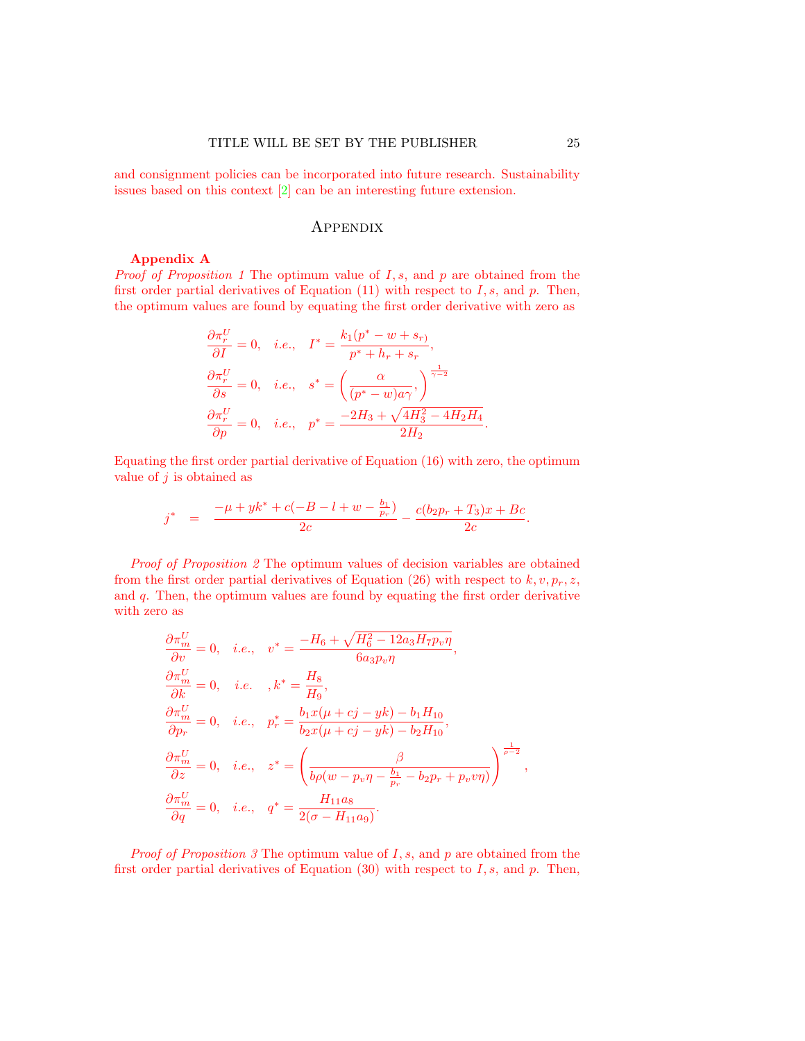and consignment policies can be incorporated into future research. Sustainability issues based on this context [\[2\]](#page-32-0) can be an interesting future extension.

## **APPENDIX**

#### Appendix A

*Proof of Proposition [1](#page-16-0)* The optimum value of  $I, s$ , and  $p$  are obtained from the first order partial derivatives of Equation  $(11)$  with respect to I, s, and p. Then, the optimum values are found by equating the first order derivative with zero as

$$
\begin{aligned}\n\frac{\partial \pi_r^U}{\partial I} &= 0, \quad i.e., \quad I^* = \frac{k_1(p^* - w + s_r)}{p^* + h_r + s_r}, \\
\frac{\partial \pi_r^U}{\partial s} &= 0, \quad i.e., \quad s^* = \left(\frac{\alpha}{(p^* - w)a\gamma}\right)^{\frac{1}{\gamma - 2}} \\
\frac{\partial \pi_r^U}{\partial p} &= 0, \quad i.e., \quad p^* = \frac{-2H_3 + \sqrt{4H_3^2 - 4H_2H_4}}{2H_2}.\n\end{aligned}
$$

Equating the first order partial derivative of Equation [\(16\)](#page-13-0) with zero, the optimum value of  $j$  is obtained as

$$
j^* = \frac{-\mu + yk^* + c(-B - l + w - \frac{b_1}{p_r})}{2c} - \frac{c(b_2p_r + T_3)x + Bc}{2c}.
$$

Proof of Proposition [2](#page-17-2) The optimum values of decision variables are obtained from the first order partial derivatives of Equation [\(26\)](#page-15-0) with respect to  $k, v, p_r, z$ , and q. Then, the optimum values are found by equating the first order derivative with zero as

$$
\frac{\partial \pi_m^U}{\partial v} = 0, \quad i.e., \quad v^* = \frac{-H_6 + \sqrt{H_6^2 - 12a_3H_7p_v\eta}}{6a_3p_v\eta}, \n\frac{\partial \pi_m^U}{\partial k} = 0, \quad i.e., \quad k^* = \frac{H_8}{H_9}, \n\frac{\partial \pi_m^U}{\partial p_r} = 0, \quad i.e., \quad p_r^* = \frac{b_1x(\mu + cj - yk) - b_1H_{10}}{b_2x(\mu + cj - yk) - b_2H_{10}}, \n\frac{\partial \pi_m^U}{\partial z} = 0, \quad i.e., \quad z^* = \left(\frac{\beta}{b\rho(w - p_v\eta - \frac{b_1}{p_r} - b_2p_r + p_vv\eta)}\right)^{\frac{1}{\rho - 2}}, \n\frac{\partial \pi_m^U}{\partial q} = 0, \quad i.e., \quad q^* = \frac{H_{11}a_8}{2(\sigma - H_{11}a_9)}.
$$

*Proof of Proposition [3](#page-17-5)* The optimum value of  $I, s$ , and  $p$  are obtained from the first order partial derivatives of Equation [\(30\)](#page-16-2) with respect to  $I, s$ , and  $p$ . Then,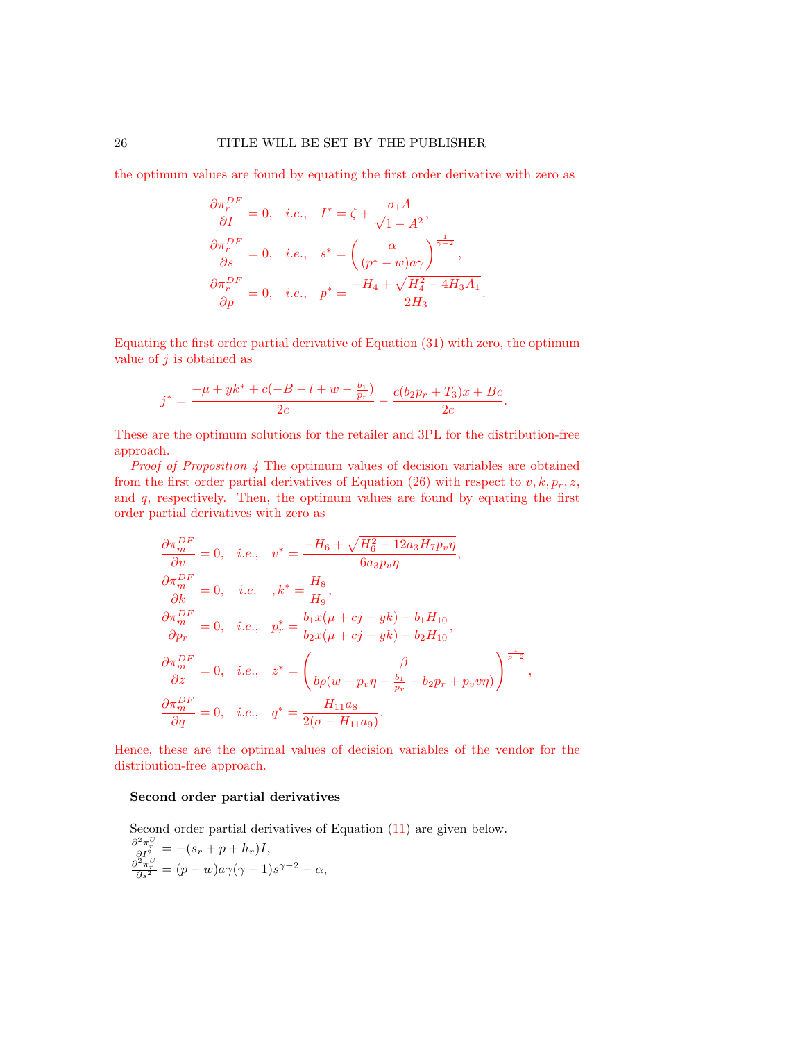the optimum values are found by equating the first order derivative with zero as

$$
\begin{aligned}\n\frac{\partial \pi_r^{DF}}{\partial I} &= 0, \quad i.e., \quad I^* = \zeta + \frac{\sigma_1 A}{\sqrt{1 - A^2}},\\
\frac{\partial \pi_r^{DF}}{\partial s} &= 0, \quad i.e., \quad s^* = \left(\frac{\alpha}{(p^* - w)a\gamma}\right)^{\frac{1}{\gamma - 2}},\\
\frac{\partial \pi_r^{DF}}{\partial p} &= 0, \quad i.e., \quad p^* = \frac{-H_4 + \sqrt{H_4^2 - 4H_3A_1}}{2H_3}.\n\end{aligned}
$$

Equating the first order partial derivative of Equation [\(31\)](#page-16-3) with zero, the optimum value of  $j$  is obtained as

$$
j^* = \frac{-\mu + yk^* + c(-B - l + w - \frac{b_1}{p_r})}{2c} - \frac{c(b_2p_r + T_3)x + Bc}{2c}.
$$

These are the optimum solutions for the retailer and 3PL for the distribution-free approach.

Proof of Proposition [4](#page-18-0) The optimum values of decision variables are obtained from the first order partial derivatives of Equation [\(26\)](#page-15-0) with respect to  $v, k, p_r, z$ , and q, respectively. Then, the optimum values are found by equating the first order partial derivatives with zero as

$$
\frac{\partial \pi_m^{DF}}{\partial v} = 0, \quad i.e., \quad v^* = \frac{-H_6 + \sqrt{H_6^2 - 12a_3H_7p_v\eta}}{6a_3p_v\eta},
$$
  
\n
$$
\frac{\partial \pi_m^{DF}}{\partial k} = 0, \quad i.e., \quad k^* = \frac{H_8}{H_9},
$$
  
\n
$$
\frac{\partial \pi_m^{DF}}{\partial p_r} = 0, \quad i.e., \quad p_r^* = \frac{b_1x(\mu + cj - yk) - b_1H_{10}}{b_2x(\mu + cj - yk) - b_2H_{10}},
$$
  
\n
$$
\frac{\partial \pi_m^{DF}}{\partial z} = 0, \quad i.e., \quad z^* = \left(\frac{\beta}{b\rho(w - p_v\eta - \frac{b_1}{p_r} - b_2p_r + p_vv\eta)}\right)^{\frac{1}{\rho - 2}},
$$
  
\n
$$
\frac{\partial \pi_m^{DF}}{\partial q} = 0, \quad i.e., \quad q^* = \frac{H_{11}a_8}{2(\sigma - H_{11}a_9)}.
$$

Hence, these are the optimal values of decision variables of the vendor for the distribution-free approach.

## Second order partial derivatives

Second order partial derivatives of Equation (11) are given below.  
\n
$$
\frac{\partial^2 \pi^U_r}{\partial I^2} = -(s_r + p + h_r)I,
$$
\n
$$
\frac{\partial^2 \pi^U_r}{\partial s^2} = (p - w)a\gamma(\gamma - 1)s^{\gamma - 2} - \alpha,
$$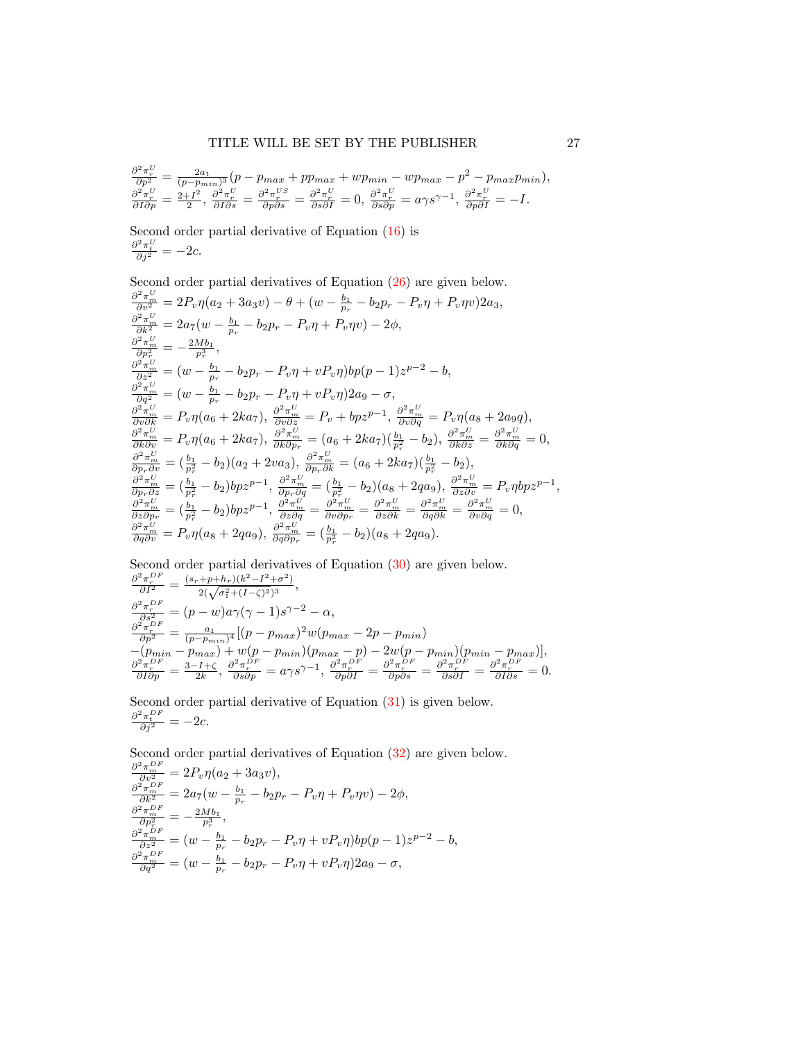$$
\frac{\partial^2 \pi^U_{\nu}}{\partial p^2} = \frac{2a_1}{(p - p_{min})^3} (p - p_{max} + pp_{max} + wp_{min} - wp_{max} - p^2 - p_{max}p_{min}),
$$
  

$$
\frac{\partial^2 \pi^U_{\nu}}{\partial I \partial p} = \frac{2 + I^2}{2}, \frac{\partial^2 \pi^U_{\nu}}{\partial I \partial s} = \frac{\partial^2 \pi^U_{\nu}}{\partial p \partial s} = \frac{\partial^2 \pi^U_{\nu}}{\partial s \partial I} = 0, \frac{\partial^2 \pi^U_{\nu}}{\partial s \partial p} = a \gamma s^{\gamma - 1}, \frac{\partial^2 \pi^U_{\nu}}{\partial p \partial I} = -I.
$$

Second order partial derivative of Equation [\(16\)](#page-13-0) is  $\frac{\partial^2 \pi_t^U}{\partial j^2} = -2c.$ 

Second order partial derivatives of Equation  $(26)$  are given below.  $\frac{\partial^2 \pi_w^U}{\partial v^2} = 2P_v \eta(a_2 + 3a_3v) - \theta + (w - \frac{b_1}{p_r} - b_2p_r - P_v\eta + P_v\eta v)2a_3,$  $\frac{\partial^2 \pi_w^U}{\partial k^2} = 2a_7(w - \frac{b_1}{p_r} - b_2p_r - P_v\eta + P_v\eta v) - 2\phi,$  $\frac{\partial^2 \pi_m^U}{\partial p_r^2} = -\frac{2Mb_1}{p_r^3},$  $\frac{\partial^2 \pi^U_m}{\partial z^2} = (w - \frac{b_1}{p_r} - b_2 p_r - P_v \eta + v P_v \eta) b p(p-1) z^{p-2} - b,$  $\frac{\partial^2 \pi^U_m}{\partial q^2} = (w - \frac{b_1}{p_r} - b_2 p_r - P_v \eta + v P_v \eta) 2 a_9 - \sigma,$  $\frac{\partial^2 \pi_m^U}{\partial v \partial k} = P_v \eta(a_6 + 2ka_7), \ \frac{\partial^2 \pi_m^U}{\partial v \partial z} = P_v + bpz^{p-1}, \ \frac{\partial^2 \pi_m^U}{\partial v \partial q} = P_v \eta(a_8 + 2a_9q),$  $\frac{\partial^2 \pi_m^U}{\partial k \partial v} = P_v \eta (a_6 + 2ka_7), \ \frac{\partial^2 \pi_m^U}{\partial k \partial p_r} = (a_6 + 2ka_7)(\frac{b_1}{p_r^2} - b_2), \ \frac{\partial^2 \pi_m^U}{\partial k \partial z} = \frac{\partial^2 \pi_m^U}{\partial k \partial q} = 0,$  $\frac{\partial^2 \pi_m^U}{\partial p_r \partial v} = \left(\frac{b_1}{p_r^2} - b_2\right) (a_2 + 2va_3), \ \frac{\partial^2 \pi_m^U}{\partial p_r \partial k} = (a_6 + 2ka_7) \left(\frac{b_1}{p_r^2} - b_2\right),$  $\frac{\partial^2 \pi_w^U}{\partial p_r \partial z} = (\frac{b_1}{p_r^2} - b_2)bpz^{p-1}, \frac{\partial^2 \pi_w^U}{\partial p_r \partial q} = (\frac{b_1}{p_r^2} - b_2)(a_8 + 2qa_9), \frac{\partial^2 \pi_w^U}{\partial z \partial v} = P_v \eta bpz^{p-1},$  $\frac{\partial^2 \pi_m^U}{\partial z \partial p_r} = \left(\frac{b_1}{p_r^2} - b_2\right)bpz^{p-1}, \ \frac{\partial^2 \pi_m^U}{\partial z \partial q} = \frac{\partial^2 \pi_m^U}{\partial v \partial p_r} = \frac{\partial^2 \pi_m^U}{\partial z \partial k} = \frac{\partial^2 \pi_m^U}{\partial q \partial k} = \frac{\partial^2 \pi_m^U}{\partial v \partial q} = 0,$  $\frac{\partial^2 \pi_m^U}{\partial q \partial v} = P_v \eta(a_8 + 2qa_9), \frac{\partial^2 \pi_m^U}{\partial q \partial p_r} = (\frac{b_1}{p_r^2} - b_2)(a_8 + 2qa_9).$ 

Second order partial derivatives of Equation [\(30\)](#page-16-2) are given below.  $\partial^2\pi^{DF}_r$ 2

$$
\frac{\partial^2 \pi_r^{DF}}{\partial I^2} = \frac{(s_r + p + h_r)(k^2 - I^2 + \sigma^2)}{2(\sqrt{\sigma_1^2 + (I - \zeta)^2})^3}, \n\frac{\partial^2 \pi_r^{DF}}{\partial s^2} = (p - w)a\gamma(\gamma - 1)s^{\gamma - 2} - \alpha, \n\frac{\partial^2 \pi_r^{DF}}{\partial p^2} = \frac{a_1}{(p - p_{min})^4} [(p - p_{max})^2 w(p_{max} - 2p - p_{min}) \n-(p_{min} - p_{max}) + w(p - p_{min})(p_{max} - p) - 2w(p - p_{min})(p_{min} - p_{max})], \n\frac{\partial^2 \pi_r^{DF}}{\partial I \partial p} = \frac{3 - I + \zeta}{2k}, \frac{\partial^2 \pi_r^{DF}}{\partial s \partial p} = a\gamma s^{\gamma - 1}, \frac{\partial^2 \pi_r^{DF}}{\partial p \partial I} = \frac{\partial^2 \pi_r^{DF}}{\partial p \partial s} = \frac{\partial^2 \pi_r^{DF}}{\partial s \partial I} = \frac{\partial^2 \pi_r^{DF}}{\partial I \partial s} = 0.
$$

Second order partial derivative of Equation [\(31\)](#page-16-3) is given below.  $\frac{\partial^2 \pi_t^{DF}}{\partial j^2} = -2c.$ 

Second order partial derivatives of Equation [\(32\)](#page-16-3) are given below.

$$
\frac{\partial^2 \pi_{m}^{DF}}{\partial v^2} = 2P_v \eta (a_2 + 3a_3 v), \n\frac{\partial^2 \pi_{m}^{DF}}{\partial k^2} = 2a_7 (w - \frac{b_1}{p_r} - b_2 p_r - P_v \eta + P_v \eta v) - 2\phi, \n\frac{\partial^2 \pi_{m}^{DF}}{\partial p_r^2} = -\frac{2M b_1}{p_r^3}, \n\frac{\partial^2 \pi_{m}^{DF}}{\partial z^2} = (w - \frac{b_1}{p_r} - b_2 p_r - P_v \eta + v P_v \eta) b p (p - 1) z^{p-2} - b, \n\frac{\partial^2 \pi_{m}^{DF}}{\partial q^2} = (w - \frac{b_1}{p_r} - b_2 p_r - P_v \eta + v P_v \eta) 2a_9 - \sigma,
$$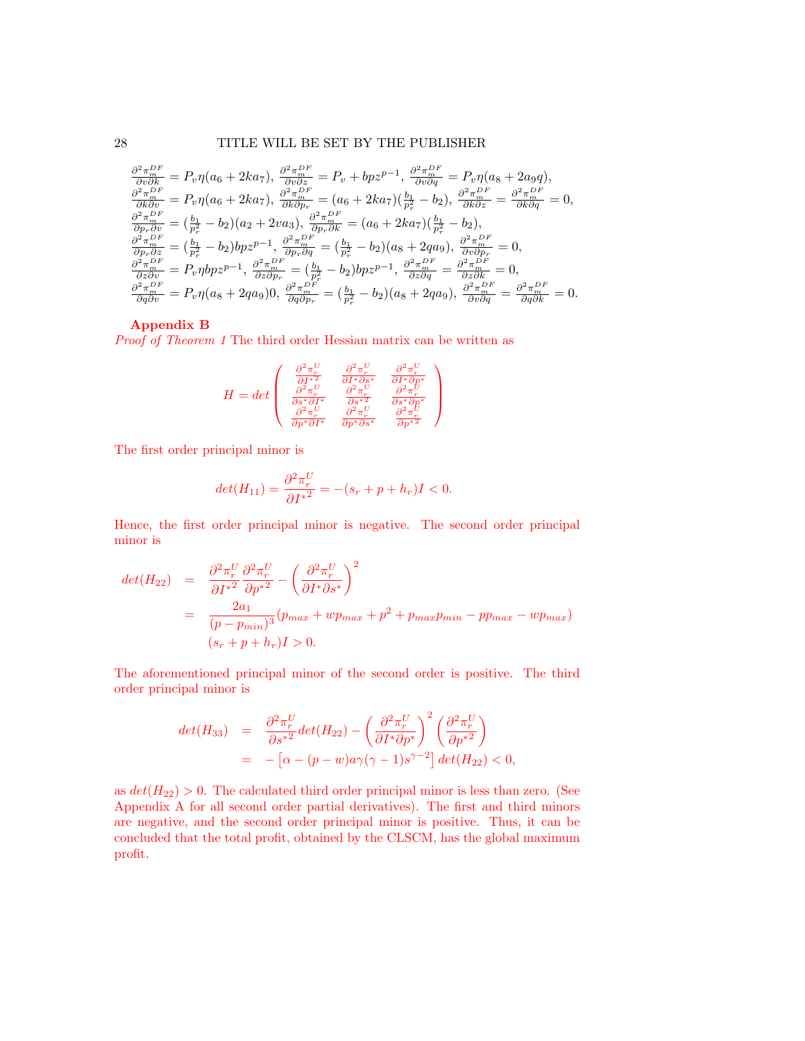28 TITLE WILL BE SET BY THE PUBLISHER

$$
\frac{\partial^2 \pi_m^{DF}}{\partial v \partial k} = P_v \eta (a_6 + 2ka_7), \frac{\partial^2 \pi_m^{DF}}{\partial v \partial z} = P_v + bpz^{p-1}, \frac{\partial^2 \pi_m^{DF}}{\partial v \partial q} = P_v \eta (a_8 + 2a_9q), \n\frac{\partial^2 \pi_m^{DF}}{\partial k \partial v} = P_v \eta (a_6 + 2ka_7), \frac{\partial^2 \pi_m^{DF}}{\partial k \partial p_r} = (a_6 + 2ka_7)(\frac{b_1}{p_r^2} - b_2), \frac{\partial^2 \pi_m^{DF}}{\partial k \partial z} = \frac{\partial^2 \pi_m^{DF}}{\partial k \partial q} = 0, \n\frac{\partial^2 \pi_m^{DF}}{\partial p_r \partial v} = (\frac{b_1}{p_r^2} - b_2)(a_2 + 2va_3), \frac{\partial^2 \pi_m^{DF}}{\partial p_r \partial k} = (a_6 + 2ka_7)(\frac{b_1}{p_r^2} - b_2), \n\frac{\partial^2 \pi_m^{DF}}{\partial p_r \partial z} = (\frac{b_1}{p_r^2} - b_2)bpz^{p-1}, \frac{\partial^2 \pi_m^{DF}}{\partial p_r \partial q} = (\frac{b_1}{p_r^2} - b_2)(a_8 + 2qa_9), \frac{\partial^2 \pi_m^{DF}}{\partial v \partial p_r} = 0, \n\frac{\partial^2 \pi_m^{DF}}{\partial z \partial v} = P_v \eta bpz^{p-1}, \frac{\partial^2 \pi_m^{DF}}{\partial z \partial p_r} = (\frac{b_1}{p_r^2} - b_2)bpz^{p-1}, \frac{\partial^2 \pi_m^{DF}}{\partial z \partial q} = \frac{\partial^2 \pi_m^{DF}}{\partial z \partial k} = 0, \n\frac{\partial^2 \pi_m^{DF}}{\partial q \partial v} = P_v \eta (a_8 + 2qa_9), \frac{\partial^2 \pi_m^{DF}}{\partial q \partial p_r} = (\frac{b_1}{p_r^2} - b_2)(a_8 + 2qa_9), \frac{\partial^2 \pi_m^{DF}}{\partial v \partial q} = \frac{\partial^2 \pi_m^{DF}}{\partial q \partial k} = 0.
$$

### Appendix B

Proof of Theorem [1](#page-17-1) The third order Hessian matrix can be written as

$$
H=det\left(\begin{array}{ccc} \frac{\partial^2\pi^U_r}{\partial I^*2} & \frac{\partial^2\pi^U_r}{\partial I^*\partial s^*} & \frac{\partial^2\pi^U_r}{\partial I^*\partial p^*}\\ \frac{\partial^2\pi^U_r}{\partial s^*\partial I^*} & \frac{\partial^2\pi^U_r}{\partial s^*2} & \frac{\partial^2\pi^U_r}{\partial s^*\partial p^*}\\ \frac{\partial^2\pi^U_r}{\partial p^*\partial I^*} & \frac{\partial^2\pi^U_r}{\partial p^*\partial s^*} & \frac{\partial^2\pi^U_r}{\partial p^*2} \end{array}\right)
$$

The first order principal minor is

$$
det(H_{11}) = \frac{\partial^2 \pi_r^U}{\partial I^{*2}} = -(s_r + p + h_r)I < 0.
$$

Hence, the first order principal minor is negative. The second order principal minor is

$$
det(H_{22}) = \frac{\partial^2 \pi_r^U}{\partial I^*} \frac{\partial^2 \pi_r^U}{\partial p^*^2} - \left(\frac{\partial^2 \pi_r^U}{\partial I^* \partial s^*}\right)^2
$$
  
= 
$$
\frac{2a_1}{(p - p_{min})^3} (p_{max} + wp_{max} + p^2 + p_{max}p_{min} - pp_{max} - wp_{max})
$$
  
( $s_r + p + h_r$ ) $I > 0$ .

The aforementioned principal minor of the second order is positive. The third order principal minor is

$$
det(H_{33}) = \frac{\partial^2 \pi_r^U}{\partial s^{*2}} det(H_{22}) - \left(\frac{\partial^2 \pi_r^U}{\partial I^* \partial p^*}\right)^2 \left(\frac{\partial^2 \pi_r^U}{\partial p^{*2}}\right)
$$
  
= 
$$
- \left[\alpha - (p - w)a\gamma(\gamma - 1)s^{\gamma - 2}\right] det(H_{22}) < 0,
$$

as  $det(H_{22}) > 0$ . The calculated third order principal minor is less than zero. (See Appendix A for all second order partial derivatives). The first and third minors are negative, and the second order principal minor is positive. Thus, it can be concluded that the total profit, obtained by the CLSCM, has the global maximum profit.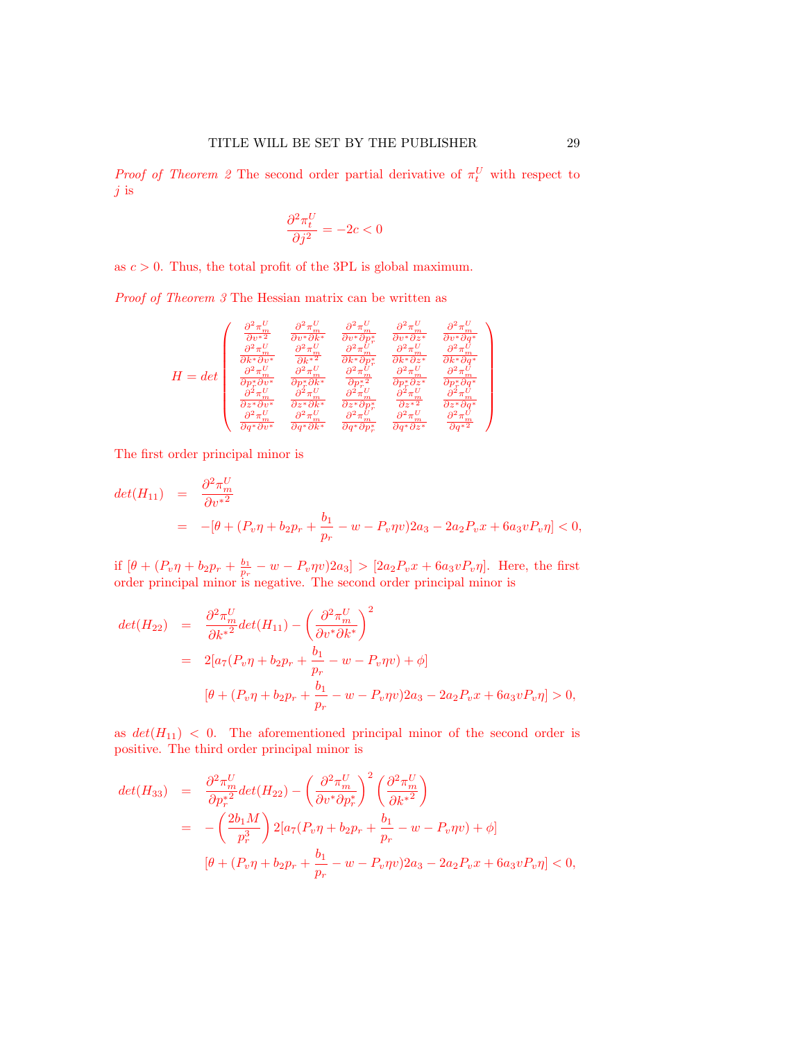*Proof of Theorem [2](#page-17-3)* The second order partial derivative of  $\pi_t^U$  with respect to  $j$  is

$$
\frac{\partial^2 \pi_t^U}{\partial j^2} = -2c < 0
$$

as  $c > 0$ . Thus, the total profit of the 3PL is global maximum.

Proof of Theorem [3](#page-17-0) The Hessian matrix can be written as

$$
H = det \left(\begin{matrix} \frac{\partial^2 \pi_m^U}{\partial v^*{}^2} & \frac{\partial^2 \pi_m^U}{\partial v^*{}\partial k^*} & \frac{\partial^2 \pi_m^U}{\partial v^*{}\partial p_r^*} & \frac{\partial^2 \pi_m^U}{\partial v^*{}\partial z^*} & \frac{\partial^2 \pi_m^U}{\partial v^*{}\partial q^*} \\ \frac{\partial^2 \pi_m^U}{\partial k^*{}\partial v^*} & \frac{\partial^2 \pi_m^U}{\partial k^*{}\partial} & \frac{\partial^2 \pi_m^U}{\partial k^*{}\partial p_r^*} & \frac{\partial^2 \pi_m^U}{\partial k^*{}\partial z^*} & \frac{\partial^2 \pi_m^U}{\partial k^*{}\partial q^*} \\ \frac{\partial^2 \pi_m^U}{\partial p_r^*{}\partial v^*} & \frac{\partial^2 \pi_m^U}{\partial p_r^*{}\partial k^*} & \frac{\partial^2 \pi_m^U}{\partial p_r^*{}\partial} & \frac{\partial^2 \pi_m^U}{\partial p_r^*{}\partial q^*} & \frac{\partial^2 \pi_m^U}{\partial p_r^*{}\partial q^*} \\ \frac{\partial^2 \pi_m^U}{\partial z^*{}\partial v^*} & \frac{\partial^2 \pi_m^U}{\partial z^*{}\partial k^*} & \frac{\partial^2 \pi_m^U}{\partial z^*{}\partial p_r^*} & \frac{\partial^2 \pi_m^U}{\partial z^*{}\partial q^*} & \frac{\partial^2 \pi_m^U}{\partial z^*{}\partial q^*} \\ \frac{\partial^2 \pi_m^U}{\partial q^*{}\partial v^*} & \frac{\partial^2 \pi_m^U}{\partial q^*{}\partial k^*} & \frac{\partial^2 \pi_m^U}{\partial q^*{}\partial p_r^*} & \frac{\partial^2 \pi_m^U}{\partial q^*{}\partial z^*} & \frac{\partial^2 \pi_m^U}{\partial q^*{}\partial} \end{matrix}\right)
$$

The first order principal minor is

$$
det(H_{11}) = \frac{\partial^2 \pi_m^U}{\partial v^{*2}}
$$
  
=  $-[\theta + (P_v \eta + b_2 p_r + \frac{b_1}{p_r} - w - P_v \eta v) 2a_3 - 2a_2 P_v x + 6a_3 v P_v \eta] < 0,$ 

if  $[\theta + (P_v \eta + b_2 p_r + \frac{b_1}{p_r} - w - P_v \eta v) 2a_3] > [2a_2 P_v x + 6a_3 v P_v \eta]$ . Here, the first order principal minor is negative. The second order principal minor is

$$
det(H_{22}) = \frac{\partial^2 \pi_m^U}{\partial k^*} det(H_{11}) - \left(\frac{\partial^2 \pi_m^U}{\partial v^* \partial k^*}\right)^2
$$
  
=  $2[a_7(P_v \eta + b_2 p_r + \frac{b_1}{p_r} - w - P_v \eta v) + \phi]$   

$$
[\theta + (P_v \eta + b_2 p_r + \frac{b_1}{p_r} - w - P_v \eta v) 2a_3 - 2a_2 P_v x + 6a_3 v P_v \eta] > 0,
$$

as  $det(H_{11})$  < 0. The aforementioned principal minor of the second order is positive. The third order principal minor is

$$
det(H_{33}) = \frac{\partial^2 \pi_m^U}{\partial p_r^{*2}} det(H_{22}) - \left(\frac{\partial^2 \pi_m^U}{\partial v^* \partial p_r^*}\right)^2 \left(\frac{\partial^2 \pi_m^U}{\partial k^*} \right)
$$
  
= 
$$
- \left(\frac{2b_1 M}{p_r^3}\right) 2\left[a_7 (P_v \eta + b_2 p_r + \frac{b_1}{p_r} - w - P_v \eta v) + \phi\right]
$$
  

$$
[\theta + (P_v \eta + b_2 p_r + \frac{b_1}{p_r} - w - P_v \eta v) 2a_3 - 2a_2 P_v x + 6a_3 v P_v \eta] < 0,
$$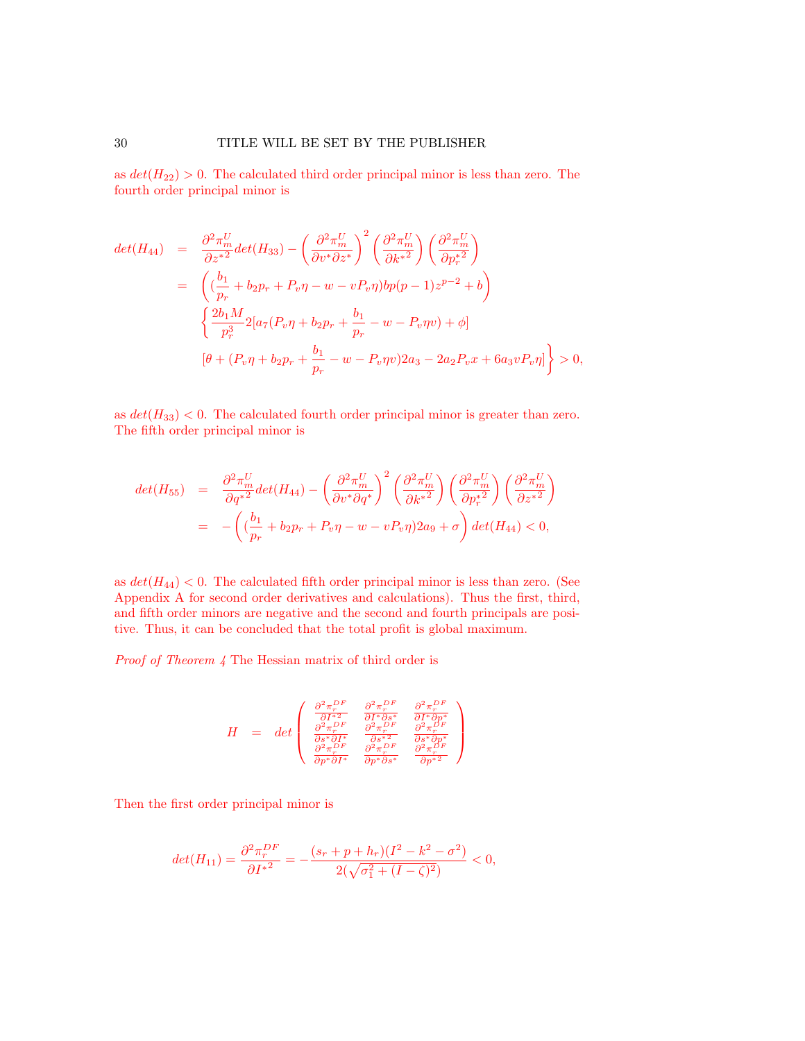as  $det(H_{22}) > 0$ . The calculated third order principal minor is less than zero. The fourth order principal minor is

$$
det(H_{44}) = \frac{\partial^2 \pi_m^U}{\partial z^*^2} det(H_{33}) - \left(\frac{\partial^2 \pi_m^U}{\partial v^* \partial z^*}\right)^2 \left(\frac{\partial^2 \pi_m^U}{\partial k^*^2}\right) \left(\frac{\partial^2 \pi_m^U}{\partial p_r^*^2}\right)
$$
  

$$
= \left(\left(\frac{b_1}{p_r} + b_2 p_r + P_v \eta - w - v P_v \eta\right) b p (p - 1) z^{p-2} + b\right)
$$
  

$$
\left\{\frac{2b_1 M}{p_r^3} 2 \left[a_7 (P_v \eta + b_2 p_r + \frac{b_1}{p_r} - w - P_v \eta v) + \phi\right]\right\}
$$
  

$$
[\theta + (P_v \eta + b_2 p_r + \frac{b_1}{p_r} - w - P_v \eta v) 2a_3 - 2a_2 P_v x + 6a_3 v P_v \eta]\right\} > 0,
$$

as  $det(H_{33})$  < 0. The calculated fourth order principal minor is greater than zero. The fifth order principal minor is

$$
det(H_{55}) = \frac{\partial^2 \pi_m^U}{\partial q^{*2}} det(H_{44}) - \left(\frac{\partial^2 \pi_m^U}{\partial v^* \partial q^*}\right)^2 \left(\frac{\partial^2 \pi_m^U}{\partial k^*} \right) \left(\frac{\partial^2 \pi_m^U}{\partial p^{*2}_r} \right) \left(\frac{\partial^2 \pi_m^U}{\partial z^*} \right)
$$
  
= 
$$
- \left( \left(\frac{b_1}{p_r} + b_2 p_r + P_v \eta - w - v P_v \eta \right) 2a_9 + \sigma \right) det(H_{44}) < 0,
$$

as  $det(H_{44})$  < 0. The calculated fifth order principal minor is less than zero. (See Appendix A for second order derivatives and calculations). Thus the first, third, and fifth order minors are negative and the second and fourth principals are positive. Thus, it can be concluded that the total profit is global maximum.

Proof of Theorem [4](#page-18-2) The Hessian matrix of third order is

$$
H \hspace{2mm} = \hspace{2mm} \det \left( \begin{array}{ccc} \frac{\partial^2 \pi^{DF}_r}{\partial I^{*2}} & \frac{\partial^2 \pi^{DF}_r}{\partial I^{*} \partial s^*} & \frac{\partial^2 \pi^{DF}_r}{\partial I^{*} \partial p^*} \\ \frac{\partial^2 \pi^{DF}_r}{\partial s^* \partial I^*} & \frac{\partial^2 \pi^{DF}_r}{\partial s^* \partial s^*} & \frac{\partial^2 \pi^{DF}_r}{\partial s^* \partial p^*} \\ \frac{\partial^2 \pi^{DF}_r}{\partial p^* \partial I^*} & \frac{\partial^2 \pi^{DF}_r}{\partial p^* \partial s^*} & \frac{\partial^2 \pi^{DF}_r}{\partial p^* \partial s^*} \end{array} \right)
$$

Then the first order principal minor is

$$
det(H_{11}) = \frac{\partial^2 \pi_r^{DF}}{\partial I^*} = -\frac{(s_r + p + h_r)(I^2 - k^2 - \sigma^2)}{2(\sqrt{\sigma_1^2 + (I - \zeta)^2})} < 0,
$$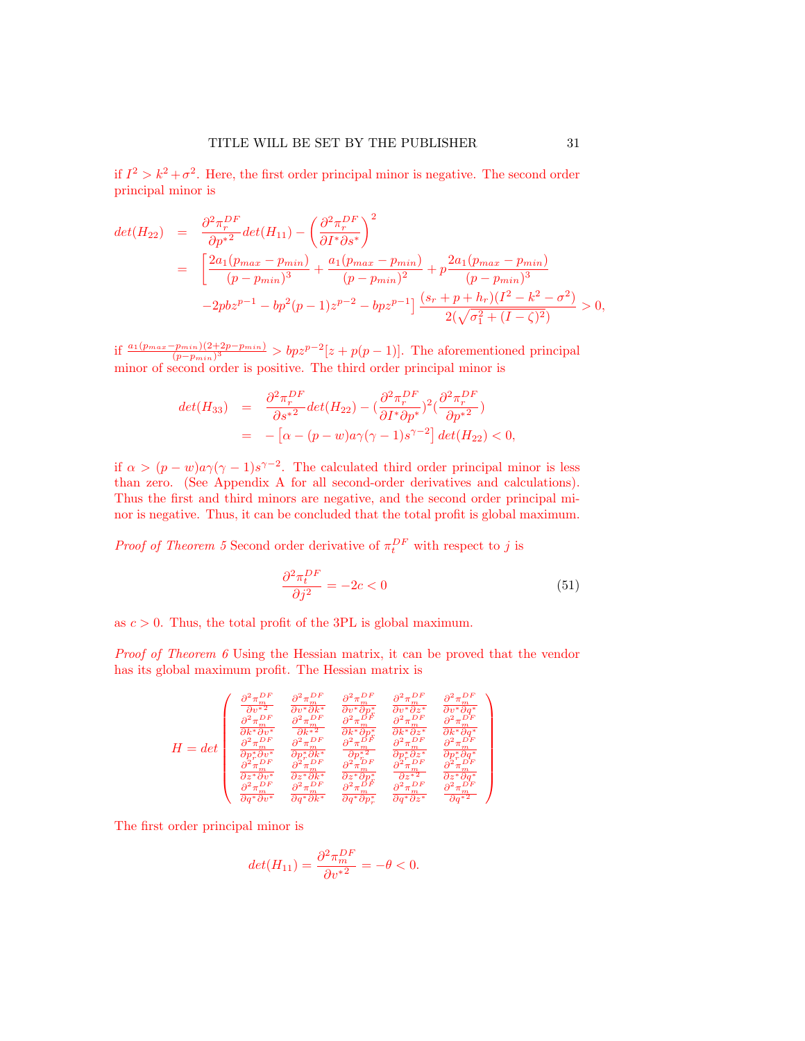if  $I^2 > k^2 + \sigma^2$ . Here, the first order principal minor is negative. The second order principal minor is

$$
det(H_{22}) = \frac{\partial^2 \pi_r^{DF}}{\partial p^{*2}} det(H_{11}) - \left(\frac{\partial^2 \pi_r^{DF}}{\partial I^* \partial s^*}\right)^2
$$
  
= 
$$
\left[\frac{2a_1(p_{max} - p_{min})}{(p - p_{min})^3} + \frac{a_1(p_{max} - p_{min})}{(p - p_{min})^2} + p \frac{2a_1(p_{max} - p_{min})}{(p - p_{min})^3} -2pbz^{p-1} - bp^2(p-1)z^{p-2} - bpz^{p-1}\right] \frac{(s_r + p + h_r)(I^2 - k^2 - \sigma^2)}{2(\sqrt{\sigma_1^2 + (I - \zeta)^2})} > 0,
$$

if  $\frac{a_1(p_{max}-p_{min})(2+2p-p_{min})}{(p-p_{min})^3} > bpz^{p-2}[z+p(p-1)].$  The aforementioned principal minor of second order is positive. The third order principal minor is

$$
det(H_{33}) = \frac{\partial^2 \pi_r^{DF}}{\partial s^{*2}} det(H_{22}) - (\frac{\partial^2 \pi_r^{DF}}{\partial I^* \partial p^*})^2 (\frac{\partial^2 \pi_r^{DF}}{\partial p^{*2}})
$$
  
= 
$$
-[\alpha - (p - w)a\gamma(\gamma - 1)s^{\gamma - 2}] det(H_{22}) < 0,
$$

if  $\alpha > (p - w)a\gamma(\gamma - 1)s^{\gamma - 2}$ . The calculated third order principal minor is less than zero. (See Appendix A for all second-order derivatives and calculations). Thus the first and third minors are negative, and the second order principal minor is negative. Thus, it can be concluded that the total profit is global maximum.

*Proof of Theorem [5](#page-18-3)* Second order derivative of  $\pi_t^{DF}$  with respect to j is

$$
\frac{\partial^2 \pi_t^{DF}}{\partial j^2} = -2c < 0\tag{51}
$$

as  $c > 0$ . Thus, the total profit of the 3PL is global maximum.

Proof of Theorem [6](#page-18-5) Using the Hessian matrix, it can be proved that the vendor has its global maximum profit. The Hessian matrix is

$$
H = det \begin{pmatrix} \frac{\partial^2 \pi_m^{DF}}{\partial v^*{}^2} & \frac{\partial^2 \pi_m^{DF}}{\partial v^* \partial k^*} & \frac{\partial^2 \pi_m^{DF}}{\partial v^* \partial p^*} & \frac{\partial^2 \pi_m^{DF}}{\partial v^* \partial z^*} & \frac{\partial^2 \pi_m^{DF}}{\partial v^* \partial q^*} \\ \frac{\partial^2 \pi_m^{DF}}{\partial k^*{}^{\partial r}} & \frac{\partial^2 \pi_m^{DF}}{\partial k^*{}^{\partial r}} & \frac{\partial^2 \pi_m^{DF}}{\partial k^* \partial p^*} & \frac{\partial^2 \pi_m^{DF}}{\partial k^* \partial q^*} & \frac{\partial^2 \pi_m^{DF}}{\partial k^* \partial q^*} \\ \frac{\partial^2 \pi_m^{DF}}{\partial p^*{}^{\partial r}} & \frac{\partial^2 \pi_m^{DF}}{\partial p^*{}^{\partial k^*}} & \frac{\partial^2 \pi_m^{DF}}{\partial k^* \partial q^*} & \frac{\partial^2 \pi_m^{DF}}{\partial p^*{}^{\partial k^*}} & \frac{\partial^2 \pi_m^{DF}}{\partial p^* \partial q^*} \\ \frac{\partial^2 \pi_m^{DF}}{\partial p^*{}^{\partial r}} & \frac{\partial^2 \pi_m^{DF}}{\partial p^*{}^{\partial k^*}} & \frac{\partial^2 \pi_m^{DF}}{\partial p^*{}^{\partial r}} & \frac{\partial^2 \pi_m^{DF}}{\partial p^* \partial q^*} & \frac{\partial^2 \pi_m^{DF}}{\partial p^* \partial q^*} \\ \frac{\partial^2 \pi_m^{DF}}{\partial z^*{}^{\partial v^*}} & \frac{\partial^2 \pi_m^{DF}}{\partial z^*{}^{\partial k^*}} & \frac{\partial^2 \pi_m^{DF}}{\partial z^*{}^{\partial p^*}} & \frac{\partial^2 \pi_m^{DF}}{\partial q^*{}^{\partial k^*}} & \frac{\partial^2 \pi_m^{DF}}{\partial q^*{}^{\partial p^*}} \end{pmatrix}
$$

The first order principal minor is

$$
det(H_{11})=\frac{\partial^2 \pi_m^{DF}}{\partial {v^*}^2}=-\theta<0.
$$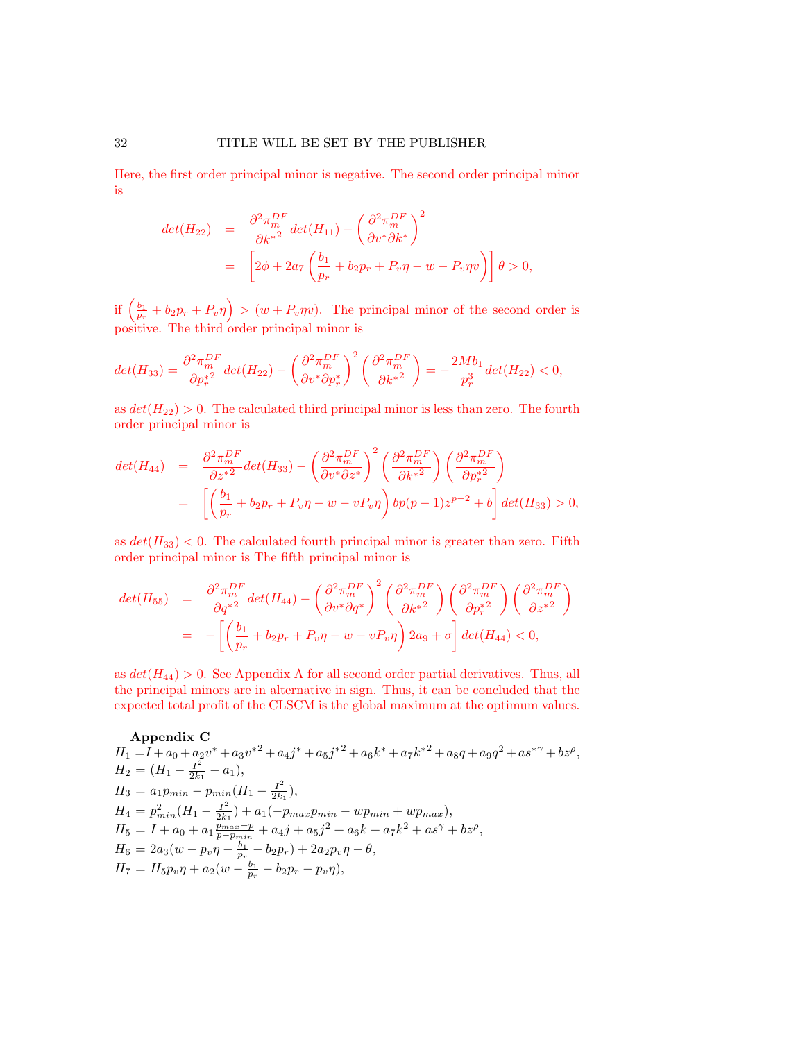Here, the first order principal minor is negative. The second order principal minor is

$$
det(H_{22}) = \frac{\partial^2 \pi_m^{DF}}{\partial k^*} det(H_{11}) - \left(\frac{\partial^2 \pi_m^{DF}}{\partial v^* \partial k^*}\right)^2
$$
  
= 
$$
\left[2\phi + 2a_7 \left(\frac{b_1}{p_r} + b_2 p_r + P_v \eta - w - P_v \eta v\right)\right] \theta > 0,
$$

if  $\left(\frac{b_1}{p_r}+b_2p_r+P_v\eta\right) > (w+P_v\eta v)$ . The principal minor of the second order is positive. The third order principal minor is

$$
det(H_{33}) = \frac{\partial^2 \pi_m^{DF}}{\partial p_r^{*2}} det(H_{22}) - \left(\frac{\partial^2 \pi_m^{DF}}{\partial v^* \partial p_r^*}\right)^2 \left(\frac{\partial^2 \pi_m^{DF}}{\partial k^*} \right) = -\frac{2Mb_1}{p_r^3} det(H_{22}) < 0,
$$

as  $det(H_{22}) > 0$ . The calculated third principal minor is less than zero. The fourth order principal minor is

$$
det(H_{44}) = \frac{\partial^2 \pi_m^{DF}}{\partial z^2} det(H_{33}) - \left(\frac{\partial^2 \pi_m^{DF}}{\partial v^* \partial z^*}\right)^2 \left(\frac{\partial^2 \pi_m^{DF}}{\partial k^*} \right) \left(\frac{\partial^2 \pi_m^{DF}}{\partial p_r^*} \right)
$$
  
= 
$$
\left[ \left(\frac{b_1}{p_r} + b_2 p_r + P_v \eta - w - v P_v \eta \right) bp(p-1) z^{p-2} + b \right] det(H_{33}) > 0,
$$

as  $det(H_{33})$  < 0. The calculated fourth principal minor is greater than zero. Fifth order principal minor is The fifth principal minor is

$$
det(H_{55}) = \frac{\partial^2 \pi_m^{DF}}{\partial q^{*2}} det(H_{44}) - \left(\frac{\partial^2 \pi_m^{DF}}{\partial v^* \partial q^*}\right)^2 \left(\frac{\partial^2 \pi_m^{DF}}{\partial k^*} \right) \left(\frac{\partial^2 \pi_m^{DF}}{\partial p^{*2}}\right) \left(\frac{\partial^2 \pi_m^{DF}}{\partial z^*} \right)
$$
  
= 
$$
- \left[ \left(\frac{b_1}{p_r} + b_2 p_r + P_v \eta - w - v P_v \eta \right) 2a_9 + \sigma \right] det(H_{44}) < 0,
$$

as  $det(H_{44}) > 0$ . See Appendix A for all second order partial derivatives. Thus, all the principal minors are in alternative in sign. Thus, it can be concluded that the expected total profit of the CLSCM is the global maximum at the optimum values.

### Appendix C

$$
H_1 = I + a_0 + a_2 v^* + a_3 v^{*2} + a_4 j^* + a_5 j^{*2} + a_6 k^* + a_7 k^{*2} + a_8 q + a_9 q^2 + a_8 s^{*} + b_2 \rho,
$$
  
\n
$$
H_2 = (H_1 - \frac{I^2}{2k_1} - a_1),
$$
  
\n
$$
H_3 = a_1 p_{min} - p_{min} (H_1 - \frac{I^2}{2k_1}),
$$
  
\n
$$
H_4 = p_{min}^2 (H_1 - \frac{I^2}{2k_1}) + a_1 (-p_{max} p_{min} - w p_{min} + w p_{max}),
$$
  
\n
$$
H_5 = I + a_0 + a_1 \frac{p_{max} - p}{p_{min}} + a_4 j + a_5 j^2 + a_6 k + a_7 k^2 + a_8 \gamma + b_2 \rho,
$$
  
\n
$$
H_6 = 2a_3 (w - p_v \eta - \frac{b_1}{p_r} - b_2 p_r) + 2a_2 p_v \eta - \theta,
$$
  
\n
$$
H_7 = H_5 p_v \eta + a_2 (w - \frac{b_1}{p_r} - b_2 p_r - p_v \eta),
$$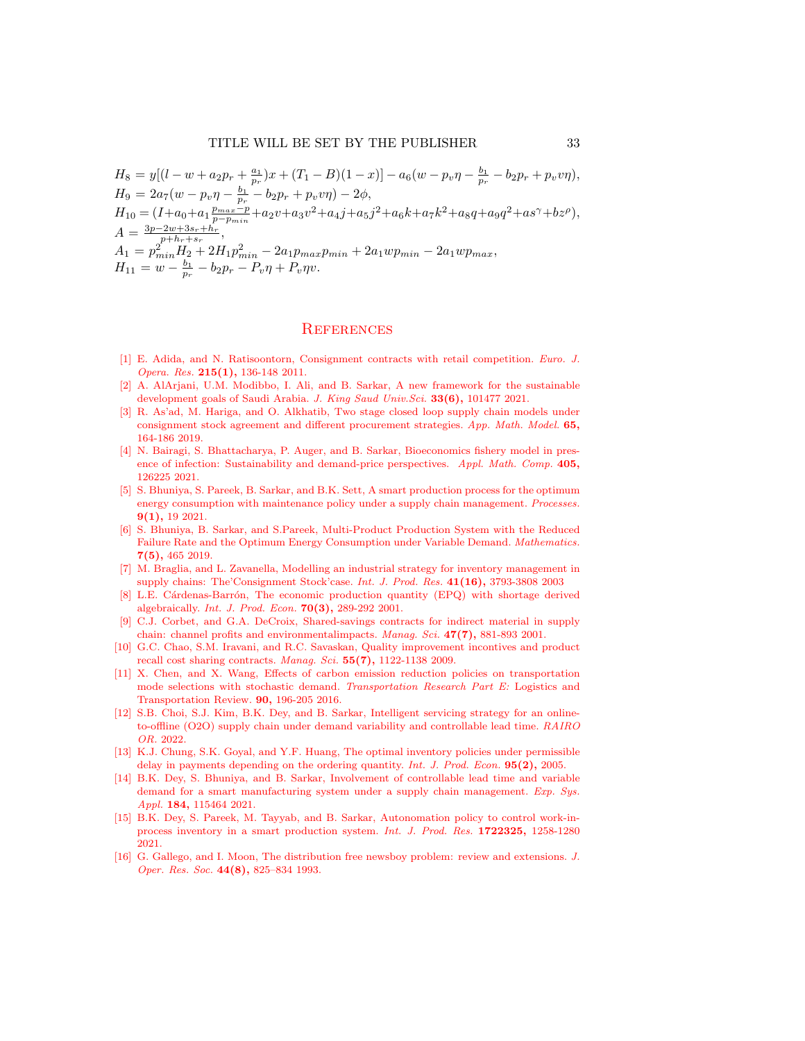$$
H_8 = y[(l - w + a_2p_r + \frac{a_1}{p_r})x + (T_1 - B)(1 - x)] - a_6(w - p_v\eta - \frac{b_1}{p_r} - b_2p_r + p_vv\eta),
$$
  
\n
$$
H_9 = 2a_7(w - p_v\eta - \frac{b_1}{p_r} - b_2p_r + p_vv\eta) - 2\phi,
$$
  
\n
$$
H_{10} = (I + a_0 + a_1\frac{p_{max} - p}{p_p - p_{min}} + a_2v + a_3v^2 + a_4j + a_5j^2 + a_6k + a_7k^2 + a_8q + a_9q^2 + a_8\gamma + bz^{\rho}),
$$
  
\n
$$
A = \frac{3p - 2w + 3s_r + h_r}{p_{min} + s_r},
$$
  
\n
$$
A_1 = p_{min}^2 H_2 + 2H_1p_{min}^2 - 2a_1p_{max}p_{min} + 2a_1wp_{min} - 2a_1wp_{max},
$$
  
\n
$$
H_{11} = w - \frac{b_1}{p_r} - b_2p_r - P_v\eta + P_v\eta v.
$$

#### **REFERENCES**

- <span id="page-32-3"></span>[1] E. Adida, and N. Ratisoontorn, Consignment contracts with retail competition. Euro. J. Opera. Res. 215(1), 136-148 2011.
- <span id="page-32-0"></span>[2] A. AlArjani, U.M. Modibbo, I. Ali, and B. Sarkar, A new framework for the sustainable development goals of Saudi Arabia. J. King Saud Univ.Sci. 33(6), 101477 2021.
- <span id="page-32-6"></span>[3] R. As'ad, M. Hariga, and O. Alkhatib, Two stage closed loop supply chain models under consignment stock agreement and different procurement strategies. App. Math. Model. 65, 164-186 2019.
- <span id="page-32-9"></span>[4] N. Bairagi, S. Bhattacharya, P. Auger, and B. Sarkar, Bioeconomics fishery model in presence of infection: Sustainability and demand-price perspectives. Appl. Math. Comp. 405, 126225 2021.
- <span id="page-32-2"></span>[5] S. Bhuniya, S. Pareek, B. Sarkar, and B.K. Sett, A smart production process for the optimum energy consumption with maintenance policy under a supply chain management. Processes. 9(1), 19 2021.
- <span id="page-32-1"></span>[6] S. Bhuniya, B. Sarkar, and S.Pareek, Multi-Product Production System with the Reduced Failure Rate and the Optimum Energy Consumption under Variable Demand. Mathematics. 7(5), 465 2019.
- <span id="page-32-5"></span>[7] M. Braglia, and L. Zavanella, Modelling an industrial strategy for inventory management in supply chains: The'Consignment Stock'case. Int. J. Prod. Res. 41(16), 3793-3808 2003
- <span id="page-32-12"></span>[8] L.E. Cárdenas-Barrón, The economic production quantity (EPQ) with shortage derived algebraically. Int. J. Prod. Econ. 70(3), 289-292 2001.
- <span id="page-32-4"></span>[9] C.J. Corbet, and G.A. DeCroix, Shared-savings contracts for indirect material in supply chain: channel profits and environmentalimpacts. Manag. Sci. 47(7), 881-893 2001.
- <span id="page-32-14"></span>[10] G.C. Chao, S.M. Iravani, and R.C. Savaskan, Quality improvement incontives and product recall cost sharing contracts. Manag. Sci.  $55(7)$ , 1122-1138 2009.
- <span id="page-32-13"></span>[11] X. Chen, and X. Wang, Effects of carbon emission reduction policies on transportation mode selections with stochastic demand. Transportation Research Part E: Logistics and Transportation Review. 90, 196-205 2016.
- <span id="page-32-11"></span>[12] S.B. Choi, S.J. Kim, B.K. Dey, and B. Sarkar, Intelligent servicing strategy for an onlineto-offline (O2O) supply chain under demand variability and controllable lead time. RAIRO OR. 2022.
- <span id="page-32-7"></span>[13] K.J. Chung, S.K. Goyal, and Y.F. Huang, The optimal inventory policies under permissible delay in payments depending on the ordering quantity. Int. J. Prod. Econ. **95(2)**, 2005.
- <span id="page-32-10"></span>[14] B.K. Dey, S. Bhuniya, and B. Sarkar, Involvement of controllable lead time and variable demand for a smart manufacturing system under a supply chain management. Exp. Sys. Appl. 184, 115464 2021.
- <span id="page-32-8"></span>[15] B.K. Dey, S. Pareek, M. Tayyab, and B. Sarkar, Autonomation policy to control work-inprocess inventory in a smart production system. Int. J. Prod. Res. 1722325, 1258-1280 2021.
- <span id="page-32-15"></span>[16] G. Gallego, and I. Moon, The distribution free newsboy problem: review and extensions. J. Oper. Res. Soc. 44(8), 825–834 1993.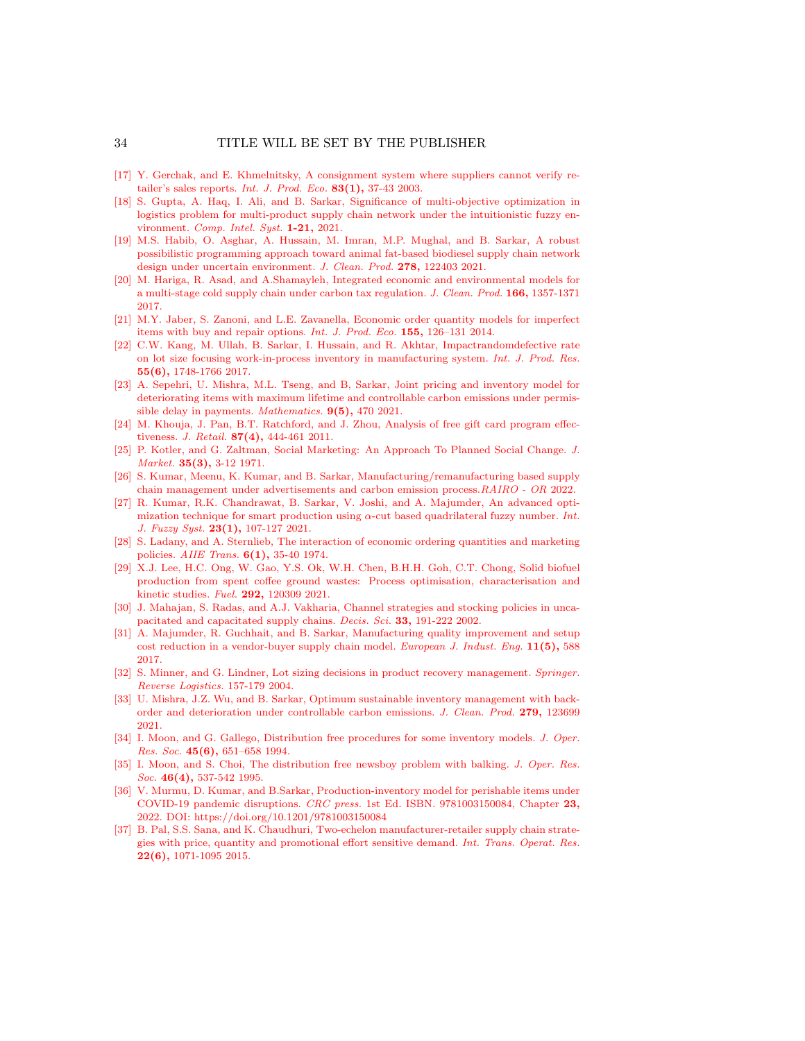- <span id="page-33-12"></span>[17] Y. Gerchak, and E. Khmelnitsky, A consignment system where suppliers cannot verify retailer's sales reports. *Int. J. Prod. Eco.* 83(1), 37-43 2003.
- <span id="page-33-15"></span>[18] S. Gupta, A. Haq, I. Ali, and B. Sarkar, Significance of multi-objective optimization in logistics problem for multi-product supply chain network under the intuitionistic fuzzy environment. Comp. Intel. Syst. 1-21, 2021.
- <span id="page-33-10"></span>[19] M.S. Habib, O. Asghar, A. Hussain, M. Imran, M.P. Mughal, and B. Sarkar, A robust possibilistic programming approach toward animal fat-based biodiesel supply chain network design under uncertain environment. J. Clean. Prod. 278, 122403 2021.
- <span id="page-33-19"></span>[20] M. Hariga, R. Asad, and A.Shamayleh, Integrated economic and environmental models for a multi-stage cold supply chain under carbon tax regulation. J. Clean. Prod. 166, 1357-1371 2017.
- <span id="page-33-16"></span>[21] M.Y. Jaber, S. Zanoni, and L.E. Zavanella, Economic order quantity models for imperfect items with buy and repair options. Int. J. Prod. Eco. 155, 126–131 2014.
- <span id="page-33-7"></span>[22] C.W. Kang, M. Ullah, B. Sarkar, I. Hussain, and R. Akhtar, Impactrandomdefective rate on lot size focusing work-in-process inventory in manufacturing system. Int. J. Prod. Res. 55(6), 1748-1766 2017.
- <span id="page-33-5"></span>[23] A. Sepehri, U. Mishra, M.L. Tseng, and B, Sarkar, Joint pricing and inventory model for deteriorating items with maximum lifetime and controllable carbon emissions under permissible delay in payments. Mathematics.  $9(5)$ , 470 2021.
- <span id="page-33-18"></span>[24] M. Khouja, J. Pan, B.T. Ratchford, and J. Zhou, Analysis of free gift card program effectiveness. *J. Retail.* **87(4)**, 444-461 2011.
- <span id="page-33-3"></span>[25] P. Kotler, and G. Zaltman, Social Marketing: An Approach To Planned Social Change. J. Market. 35(3), 3-12 1971.
- <span id="page-33-6"></span>[26] S. Kumar, Meenu, K. Kumar, and B. Sarkar, Manufacturing/remanufacturing based supply chain management under advertisements and carbon emission process.RAIRO - OR 2022.
- <span id="page-33-17"></span>[27] R. Kumar, R.K. Chandrawat, B. Sarkar, V. Joshi, and A. Majumder, An advanced optimization technique for smart production using  $\alpha$ -cut based quadrilateral fuzzy number. Int. J. Fuzzy Syst. 23(1), 107-127 2021.
- <span id="page-33-4"></span>[28] S. Ladany, and A. Sternlieb, The interaction of economic ordering quantities and marketing policies. AIIE Trans. 6(1), 35-40 1974.
- <span id="page-33-14"></span>[29] X.J. Lee, H.C. Ong, W. Gao, Y.S. Ok, W.H. Chen, B.H.H. Goh, C.T. Chong, Solid biofuel production from spent coffee ground wastes: Process optimisation, characterisation and kinetic studies. Fuel. 292, 120309 2021.
- <span id="page-33-11"></span>[30] J. Mahajan, S. Radas, and A.J. Vakharia, Channel strategies and stocking policies in uncapacitated and capacitated supply chains. Decis. Sci. 33, 191-222 2002.
- <span id="page-33-20"></span>[31] A. Majumder, R. Guchhait, and B. Sarkar, Manufacturing quality improvement and setup cost reduction in a vendor-buyer supply chain model. European J. Indust. Eng.  $11(5)$ , 588 2017.
- <span id="page-33-8"></span>[32] S. Minner, and G. Lindner, Lot sizing decisions in product recovery management. Springer. Reverse Logistics. 157-179 2004.
- <span id="page-33-9"></span>[33] U. Mishra, J.Z. Wu, and B. Sarkar, Optimum sustainable inventory management with backorder and deterioration under controllable carbon emissions. J. Clean. Prod. 279, 123699 2021.
- <span id="page-33-0"></span>[34] I. Moon, and G. Gallego, Distribution free procedures for some inventory models. J. Oper. Res. Soc. 45(6), 651–658 1994.
- <span id="page-33-2"></span>[35] I. Moon, and S. Choi, The distribution free newsboy problem with balking. J. Oper. Res. Soc. 46(4), 537-542 1995.
- <span id="page-33-13"></span>[36] V. Murmu, D. Kumar, and B.Sarkar, Production-inventory model for perishable items under COVID-19 pandemic disruptions. CRC press. 1st Ed. ISBN. 9781003150084, Chapter 23, 2022. DOI: https://doi.org/10.1201/9781003150084
- <span id="page-33-1"></span>[37] B. Pal, S.S. Sana, and K. Chaudhuri, Two-echelon manufacturer-retailer supply chain strategies with price, quantity and promotional effort sensitive demand. Int. Trans. Operat. Res. 22(6), 1071-1095 2015.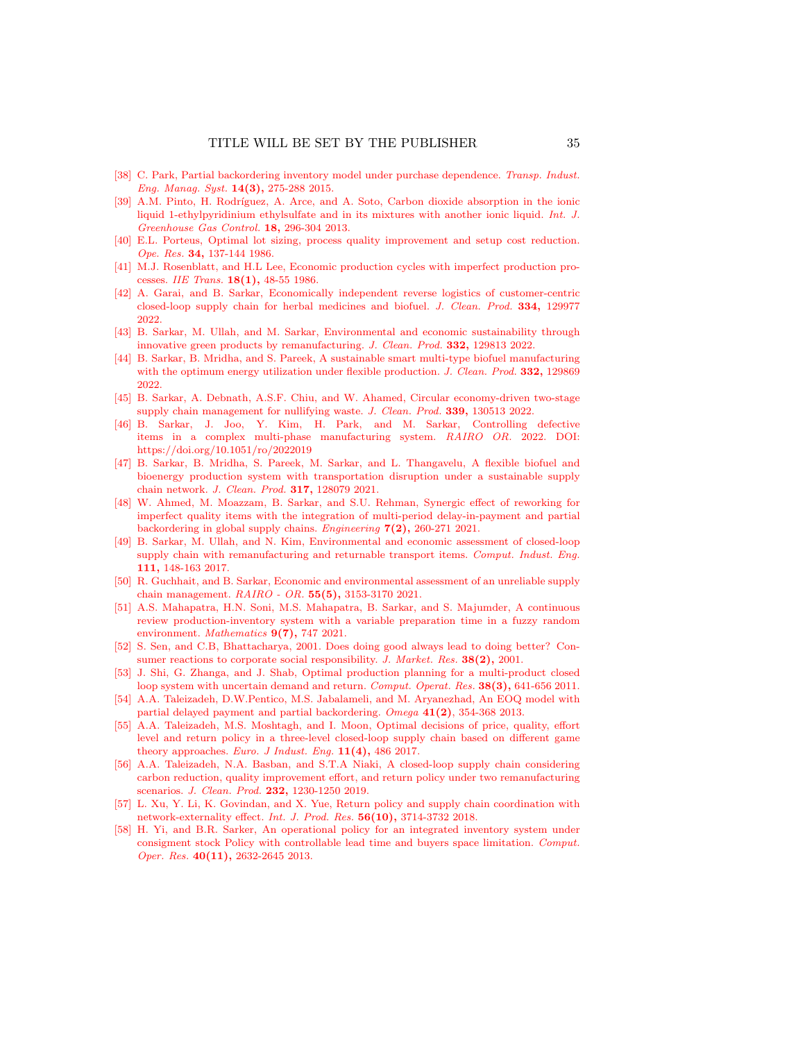- <span id="page-34-14"></span>[38] C. Park, Partial backordering inventory model under purchase dependence. Transp. Indust. Eng. Manag. Syst. 14(3), 275-288 2015.
- <span id="page-34-1"></span>[39] A.M. Pinto, H. Rodríguez, A. Arce, and A. Soto, Carbon dioxide absorption in the ionic liquid 1-ethylpyridinium ethylsulfate and in its mixtures with another ionic liquid. Int. J. Greenhouse Gas Control. 18, 296-304 2013.
- <span id="page-34-5"></span>[40] E.L. Porteus, Optimal lot sizing, process quality improvement and setup cost reduction. Ope. Res. 34, 137-144 1986.
- <span id="page-34-4"></span>[41] M.J. Rosenblatt, and H.L Lee, Economic production cycles with imperfect production processes. IIE Trans. 18(1), 48-55 1986.
- <span id="page-34-6"></span>[42] A. Garai, and B. Sarkar, Economically independent reverse logistics of customer-centric closed-loop supply chain for herbal medicines and biofuel. J. Clean. Prod. 334, 129977 2022.
- <span id="page-34-3"></span>[43] B. Sarkar, M. Ullah, and M. Sarkar, Environmental and economic sustainability through innovative green products by remanufacturing. J. Clean. Prod. 332, 129813 2022.
- <span id="page-34-7"></span>[44] B. Sarkar, B. Mridha, and S. Pareek, A sustainable smart multi-type biofuel manufacturing with the optimum energy utilization under flexible production. J. Clean. Prod. 332, 129869 2022.
- <span id="page-34-15"></span>[45] B. Sarkar, A. Debnath, A.S.F. Chiu, and W. Ahamed, Circular economy-driven two-stage supply chain management for nullifying waste. J. Clean. Prod. 339, 130513 2022.
- <span id="page-34-8"></span>[46] B. Sarkar, J. Joo, Y. Kim, H. Park, and M. Sarkar, Controlling defective items in a complex multi-phase manufacturing system. RAIRO OR. 2022. DOI: https://doi.org/10.1051/ro/2022019
- <span id="page-34-2"></span>[47] B. Sarkar, B. Mridha, S. Pareek, M. Sarkar, and L. Thangavelu, A flexible biofuel and bioenergy production system with transportation disruption under a sustainable supply chain network. J. Clean. Prod. 317, 128079 2021.
- <span id="page-34-17"></span>[48] W. Ahmed, M. Moazzam, B. Sarkar, and S.U. Rehman, Synergic effect of reworking for imperfect quality items with the integration of multi-period delay-in-payment and partial backordering in global supply chains. Engineering  $7(2)$ , 260-271 2021.
- <span id="page-34-12"></span>[49] B. Sarkar, M. Ullah, and N. Kim, Environmental and economic assessment of closed-loop supply chain with remanufacturing and returnable transport items. Comput. Indust. Eng. 111, 148-163 2017.
- <span id="page-34-19"></span>[50] R. Guchhait, and B. Sarkar, Economic and environmental assessment of an unreliable supply chain management. RAIRO - OR. 55(5), 3153-3170 2021.
- <span id="page-34-9"></span>[51] A.S. Mahapatra, H.N. Soni, M.S. Mahapatra, B. Sarkar, and S. Majumder, A continuous review production-inventory system with a variable preparation time in a fuzzy random environment. Mathematics  $9(7)$ , 747 2021.
- <span id="page-34-16"></span>[52] S. Sen, and C.B, Bhattacharya, 2001. Does doing good always lead to doing better? Consumer reactions to corporate social responsibility. J. Market. Res. 38(2), 2001.
- <span id="page-34-11"></span>[53] J. Shi, G. Zhanga, and J. Shab, Optimal production planning for a multi-product closed loop system with uncertain demand and return. Comput. Operat. Res. 38(3), 641-656 2011.
- <span id="page-34-10"></span>[54] A.A. Taleizadeh, D.W.Pentico, M.S. Jabalameli, and M. Aryanezhad, An EOQ model with partial delayed payment and partial backordering. Omega 41(2), 354-368 2013.
- [55] A.A. Taleizadeh, M.S. Moshtagh, and I. Moon, Optimal decisions of price, quality, effort level and return policy in a three-level closed-loop supply chain based on different game theory approaches. Euro. J Indust. Eng.  $11(4)$ , 486 2017.
- <span id="page-34-0"></span>[56] A.A. Taleizadeh, N.A. Basban, and S.T.A Niaki, A closed-loop supply chain considering carbon reduction, quality improvement effort, and return policy under two remanufacturing scenarios. J. Clean. Prod. 232, 1230-1250 2019.
- <span id="page-34-18"></span>[57] L. Xu, Y. Li, K. Govindan, and X. Yue, Return policy and supply chain coordination with network-externality effect. Int. J. Prod. Res. 56(10), 3714-3732 2018.
- <span id="page-34-13"></span>[58] H. Yi, and B.R. Sarker, An operational policy for an integrated inventory system under consigment stock Policy with controllable lead time and buyers space limitation. Comput. Oper. Res. 40(11), 2632-2645 2013.